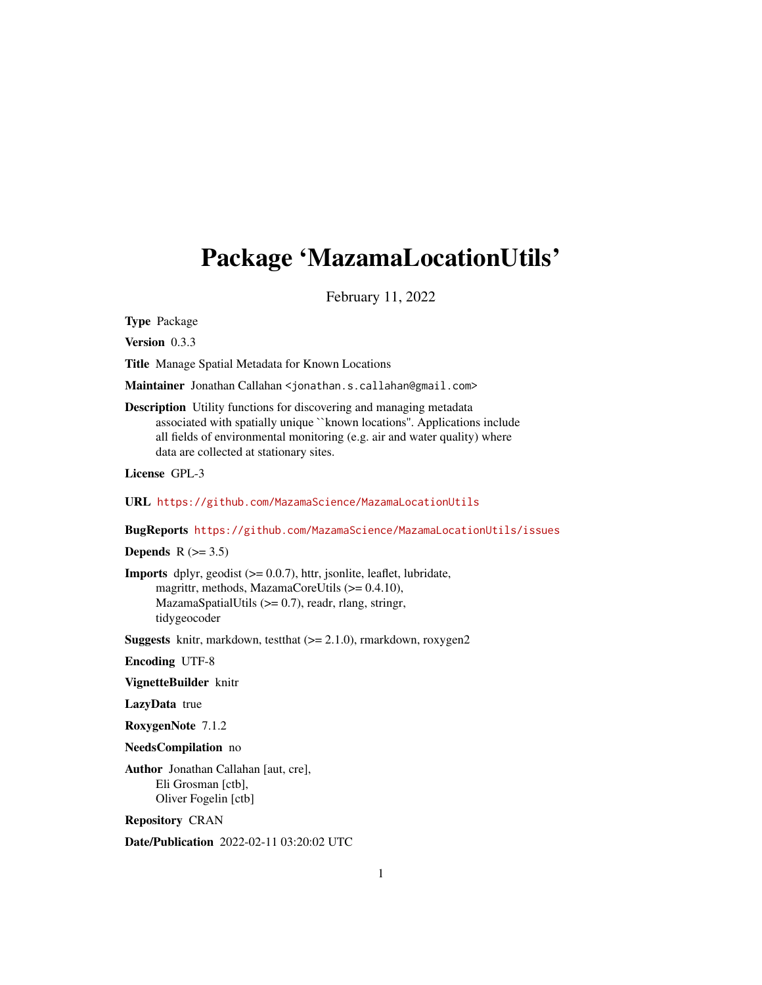# <span id="page-0-0"></span>Package 'MazamaLocationUtils'

February 11, 2022

Type Package

Version 0.3.3

Title Manage Spatial Metadata for Known Locations

Maintainer Jonathan Callahan <jonathan.s.callahan@gmail.com>

Description Utility functions for discovering and managing metadata associated with spatially unique ``known locations''. Applications include all fields of environmental monitoring (e.g. air and water quality) where data are collected at stationary sites.

License GPL-3

URL <https://github.com/MazamaScience/MazamaLocationUtils>

BugReports <https://github.com/MazamaScience/MazamaLocationUtils/issues>

Depends  $R$  ( $>= 3.5$ )

**Imports** dplyr, geodist  $(>= 0.0.7)$ , httr, jsonlite, leaflet, lubridate, magrittr, methods, MazamaCoreUtils (>= 0.4.10), MazamaSpatialUtils (>= 0.7), readr, rlang, stringr, tidygeocoder

**Suggests** knitr, markdown, testthat  $(>= 2.1.0)$ , rmarkdown, roxygen2

Encoding UTF-8

VignetteBuilder knitr

LazyData true

RoxygenNote 7.1.2

NeedsCompilation no

Author Jonathan Callahan [aut, cre], Eli Grosman [ctb], Oliver Fogelin [ctb]

Repository CRAN

Date/Publication 2022-02-11 03:20:02 UTC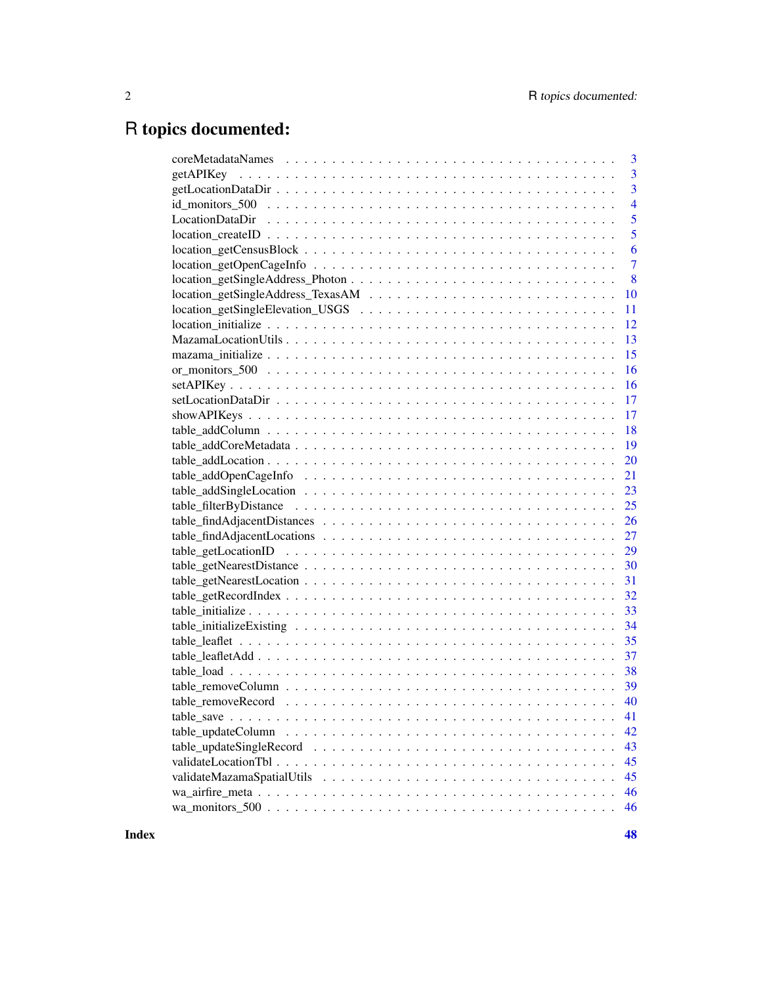# R topics documented:

|                                                                                                     | 3              |
|-----------------------------------------------------------------------------------------------------|----------------|
|                                                                                                     | 3              |
|                                                                                                     | 3              |
|                                                                                                     | $\overline{4}$ |
|                                                                                                     | 5              |
|                                                                                                     | 5              |
|                                                                                                     | 6              |
|                                                                                                     | $\overline{7}$ |
|                                                                                                     | 8              |
|                                                                                                     | 10             |
|                                                                                                     | 11             |
|                                                                                                     | 12             |
|                                                                                                     | 13             |
|                                                                                                     | 15             |
|                                                                                                     | 16             |
|                                                                                                     | 16             |
|                                                                                                     | 17             |
|                                                                                                     | 17             |
|                                                                                                     | 18             |
|                                                                                                     | 19             |
|                                                                                                     | 20             |
|                                                                                                     | 21             |
|                                                                                                     | 23             |
|                                                                                                     |                |
|                                                                                                     |                |
|                                                                                                     |                |
|                                                                                                     |                |
|                                                                                                     |                |
|                                                                                                     |                |
|                                                                                                     |                |
|                                                                                                     |                |
|                                                                                                     |                |
|                                                                                                     |                |
|                                                                                                     |                |
|                                                                                                     |                |
|                                                                                                     |                |
|                                                                                                     |                |
|                                                                                                     | 41             |
| $table\_updateColumn \dots \dots \dots \dots \dots \dots \dots \dots \dots \dots \dots \dots \dots$ | 42             |
|                                                                                                     | 43             |
|                                                                                                     | 45             |
|                                                                                                     | 45             |
|                                                                                                     | 46             |
|                                                                                                     | 46             |
|                                                                                                     |                |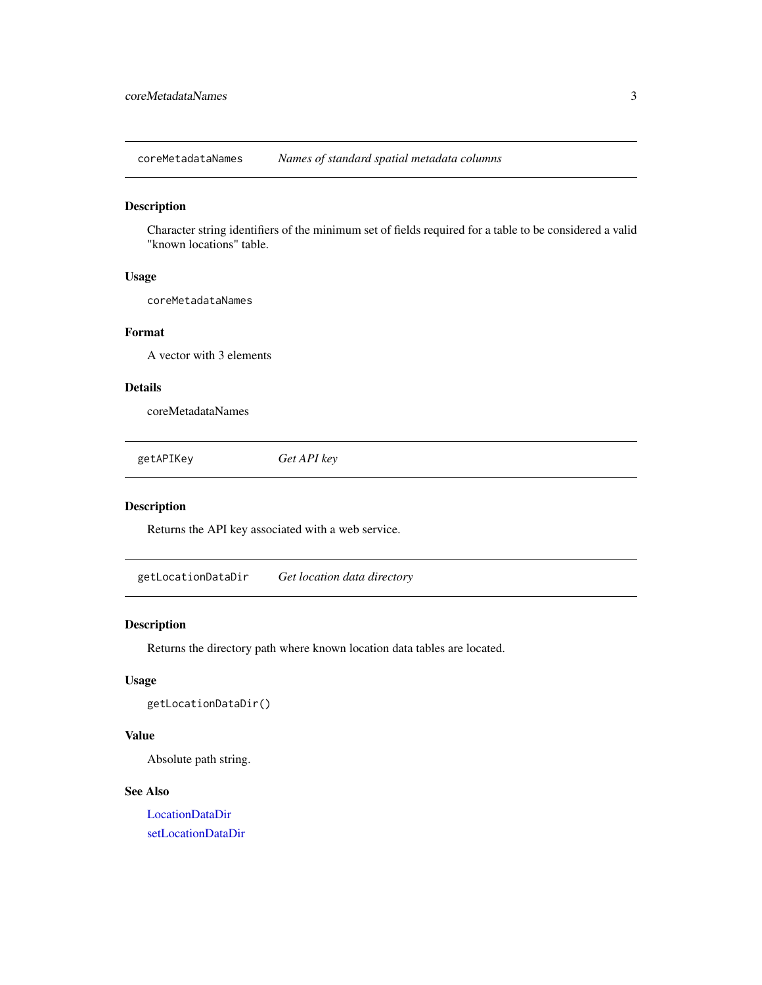<span id="page-2-0"></span>coreMetadataNames *Names of standard spatial metadata columns*

#### Description

Character string identifiers of the minimum set of fields required for a table to be considered a valid "known locations" table.

### Usage

coreMetadataNames

### Format

A vector with 3 elements

#### Details

coreMetadataNames

getAPIKey *Get API key*

#### Description

Returns the API key associated with a web service.

<span id="page-2-1"></span>getLocationDataDir *Get location data directory*

### Description

Returns the directory path where known location data tables are located.

### Usage

getLocationDataDir()

#### Value

Absolute path string.

#### See Also

[LocationDataDir](#page-4-1) [setLocationDataDir](#page-16-1)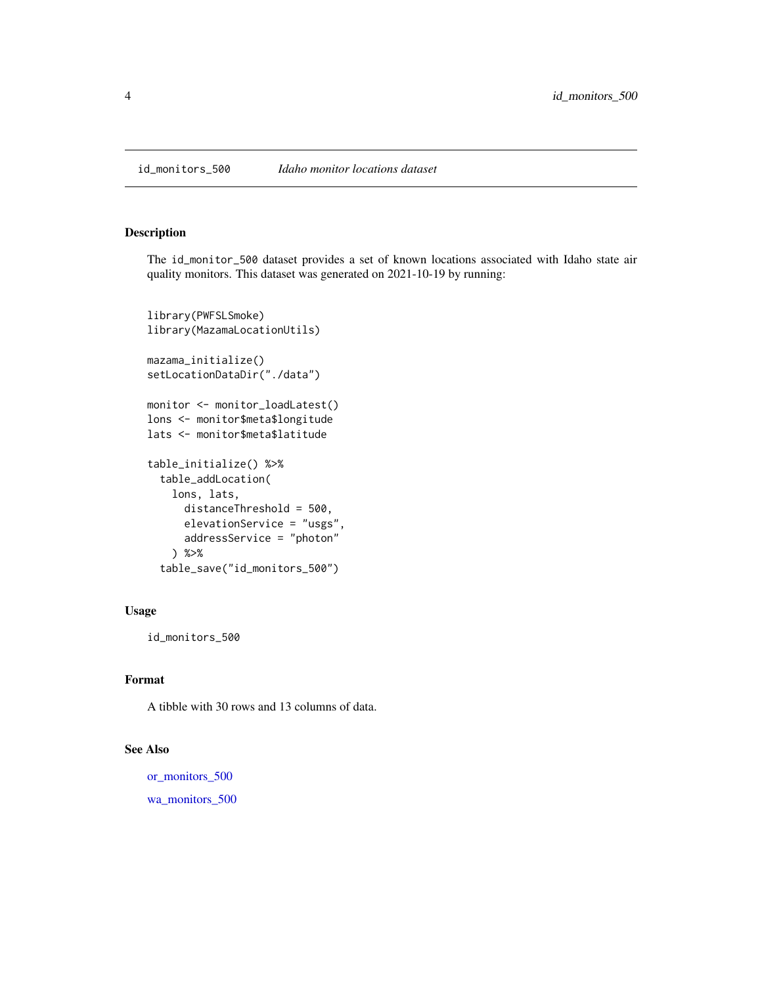<span id="page-3-1"></span><span id="page-3-0"></span>id\_monitors\_500 *Idaho monitor locations dataset*

### Description

The id\_monitor\_500 dataset provides a set of known locations associated with Idaho state air quality monitors. This dataset was generated on 2021-10-19 by running:

```
library(PWFSLSmoke)
library(MazamaLocationUtils)
mazama_initialize()
setLocationDataDir("./data")
monitor <- monitor_loadLatest()
lons <- monitor$meta$longitude
lats <- monitor$meta$latitude
table_initialize() %>%
  table_addLocation(
    lons, lats,
      distanceThreshold = 500,
      elevationService = "usgs",
      addressService = "photon"
    ) %>%
  table_save("id_monitors_500")
```
### Usage

id\_monitors\_500

### Format

A tibble with 30 rows and 13 columns of data.

#### See Also

[or\\_monitors\\_500](#page-15-1) [wa\\_monitors\\_500](#page-45-1)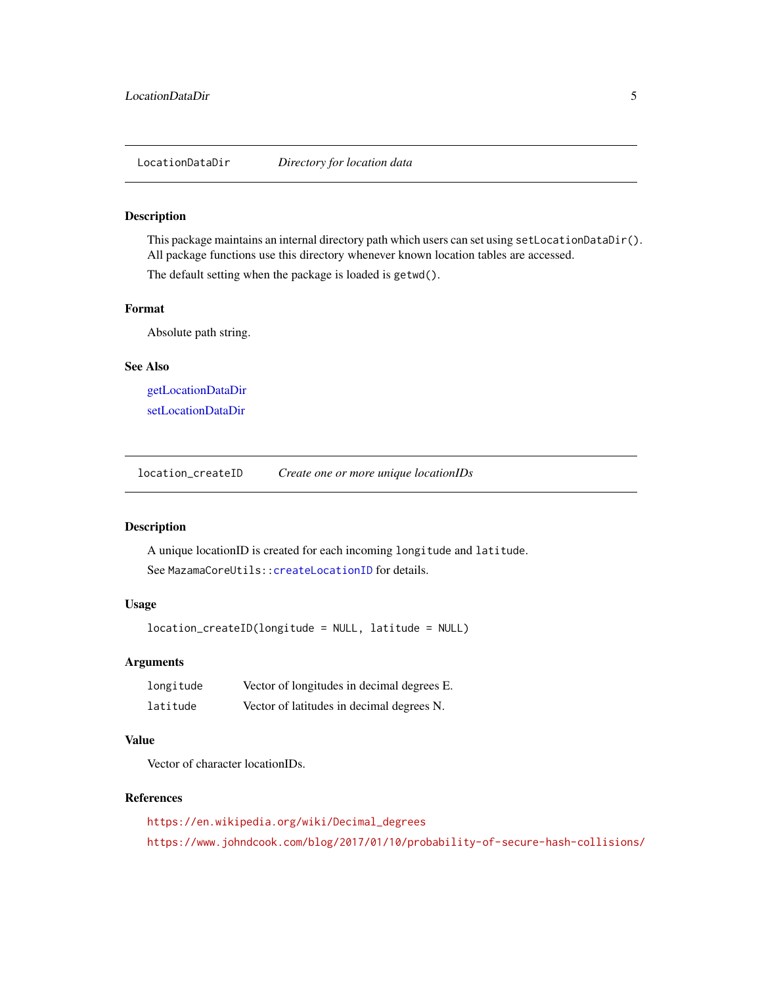<span id="page-4-1"></span><span id="page-4-0"></span>LocationDataDir *Directory for location data*

#### Description

This package maintains an internal directory path which users can set using setLocationDataDir(). All package functions use this directory whenever known location tables are accessed.

The default setting when the package is loaded is getwd().

#### Format

Absolute path string.

#### See Also

[getLocationDataDir](#page-2-1) [setLocationDataDir](#page-16-1)

location\_createID *Create one or more unique locationIDs*

### Description

A unique locationID is created for each incoming longitude and latitude. See MazamaCoreUtils:: createLocationID for details.

#### Usage

location\_createID(longitude = NULL, latitude = NULL)

#### Arguments

| longitude | Vector of longitudes in decimal degrees E. |
|-----------|--------------------------------------------|
| latitude  | Vector of latitudes in decimal degrees N.  |

### Value

Vector of character locationIDs.

#### References

[https://en.wikipedia.org/wiki/Decimal\\_degrees](https://en.wikipedia.org/wiki/Decimal_degrees) <https://www.johndcook.com/blog/2017/01/10/probability-of-secure-hash-collisions/>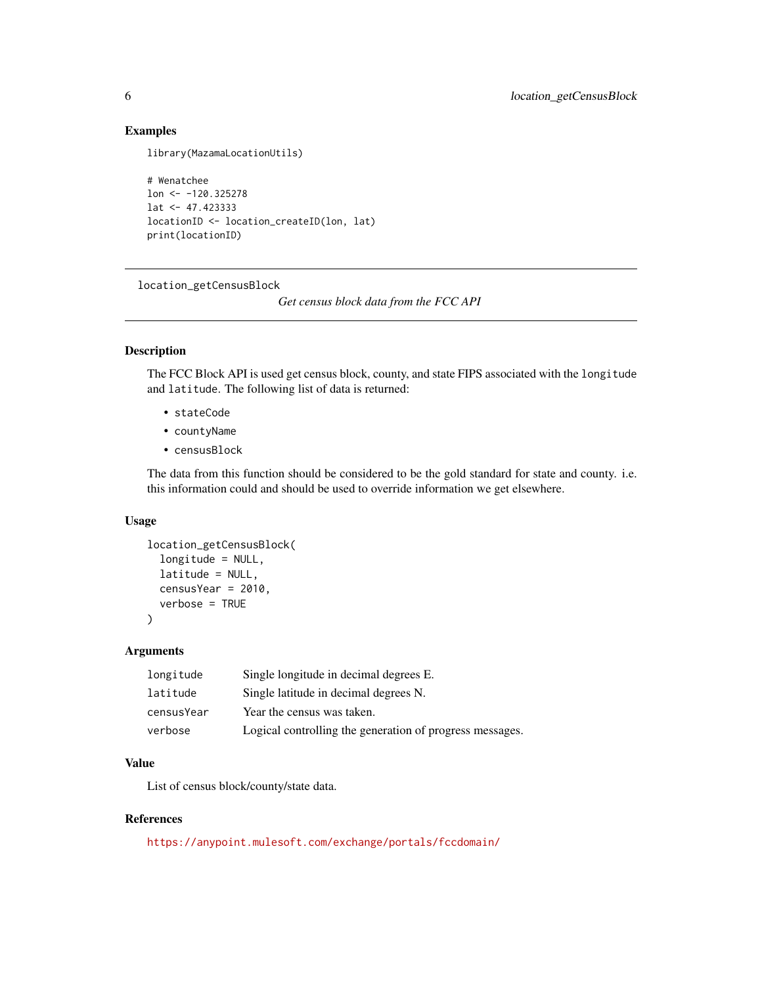### Examples

```
library(MazamaLocationUtils)
```

```
# Wenatchee
lon <- -120.325278
lat <- 47.423333
locationID <- location_createID(lon, lat)
print(locationID)
```
location\_getCensusBlock

*Get census block data from the FCC API*

### Description

The FCC Block API is used get census block, county, and state FIPS associated with the longitude and latitude. The following list of data is returned:

- stateCode
- countyName
- censusBlock

The data from this function should be considered to be the gold standard for state and county. i.e. this information could and should be used to override information we get elsewhere.

#### Usage

```
location_getCensusBlock(
  longitude = NULL,
  latitude = NULL,
 censusYear = 2010,
  verbose = TRUE
)
```
### Arguments

| longitude  | Single longitude in decimal degrees E.                   |
|------------|----------------------------------------------------------|
| latitude   | Single latitude in decimal degrees N.                    |
| censusYear | Year the census was taken.                               |
| verbose    | Logical controlling the generation of progress messages. |

### Value

List of census block/county/state data.

### References

<https://anypoint.mulesoft.com/exchange/portals/fccdomain/>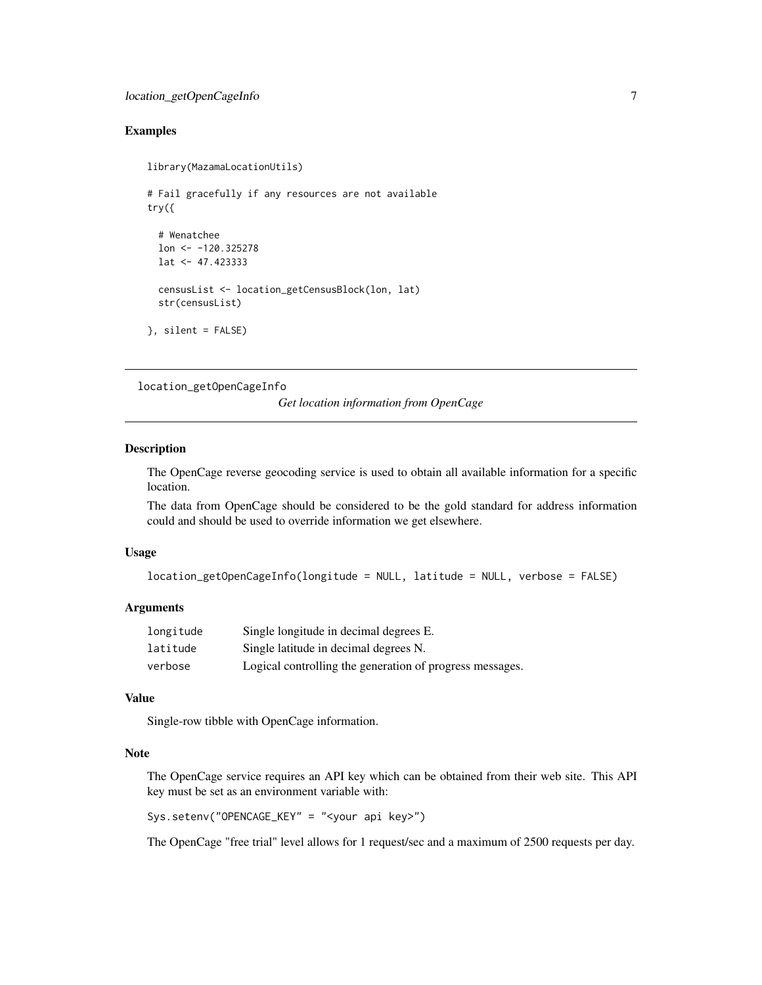### <span id="page-6-0"></span>Examples

```
library(MazamaLocationUtils)
# Fail gracefully if any resources are not available
try({
 # Wenatchee
 lon <- -120.325278
 lat <- 47.423333
 censusList <- location_getCensusBlock(lon, lat)
 str(censusList)
}, silent = FALSE)
```
location\_getOpenCageInfo

*Get location information from OpenCage*

#### Description

The OpenCage reverse geocoding service is used to obtain all available information for a specific location.

The data from OpenCage should be considered to be the gold standard for address information could and should be used to override information we get elsewhere.

#### Usage

```
location_getOpenCageInfo(longitude = NULL, latitude = NULL, verbose = FALSE)
```
### Arguments

| longitude | Single longitude in decimal degrees E.                   |
|-----------|----------------------------------------------------------|
| latitude  | Single latitude in decimal degrees N.                    |
| verbose   | Logical controlling the generation of progress messages. |

#### Value

Single-row tibble with OpenCage information.

#### Note

The OpenCage service requires an API key which can be obtained from their web site. This API key must be set as an environment variable with:

Sys.setenv("OPENCAGE\_KEY" = "<your api key>")

The OpenCage "free trial" level allows for 1 request/sec and a maximum of 2500 requests per day.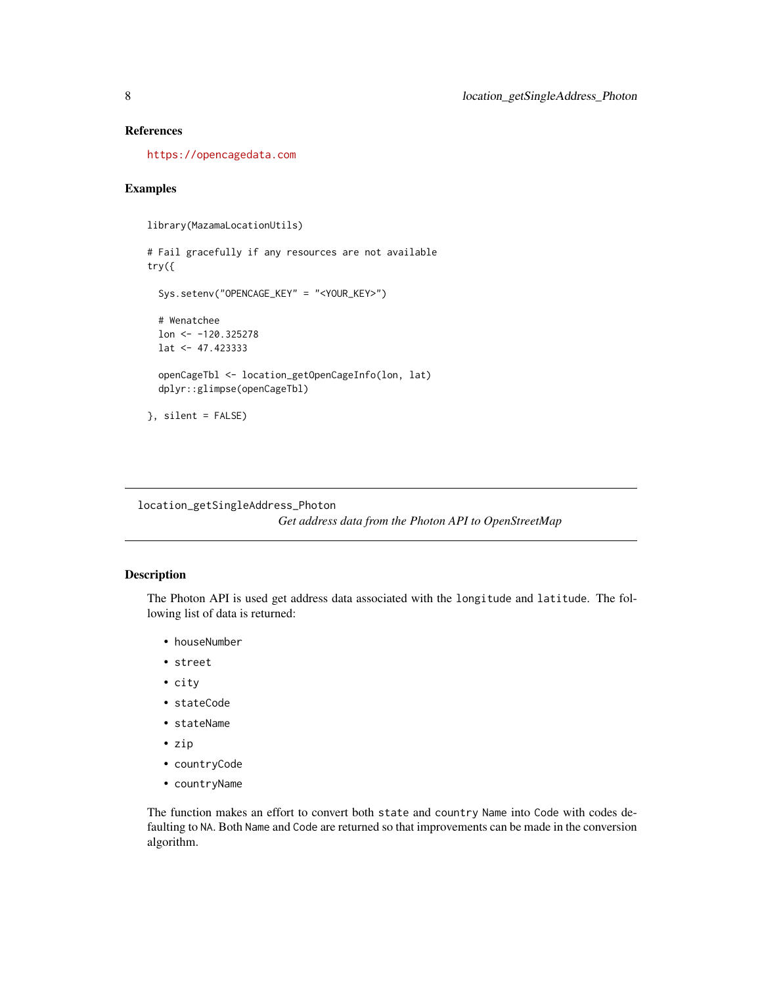### <span id="page-7-0"></span>References

<https://opencagedata.com>

### Examples

```
library(MazamaLocationUtils)
```

```
# Fail gracefully if any resources are not available
try({
 Sys.setenv("OPENCAGE_KEY" = "<YOUR_KEY>")
 # Wenatchee
 lon <- -120.325278
 lat <- 47.423333
 openCageTbl <- location_getOpenCageInfo(lon, lat)
 dplyr::glimpse(openCageTbl)
}, silent = FALSE)
```
location\_getSingleAddress\_Photon

*Get address data from the Photon API to OpenStreetMap*

### Description

The Photon API is used get address data associated with the longitude and latitude. The following list of data is returned:

- houseNumber
- street
- city
- stateCode
- stateName
- zip
- countryCode
- countryName

The function makes an effort to convert both state and country Name into Code with codes defaulting to NA. Both Name and Code are returned so that improvements can be made in the conversion algorithm.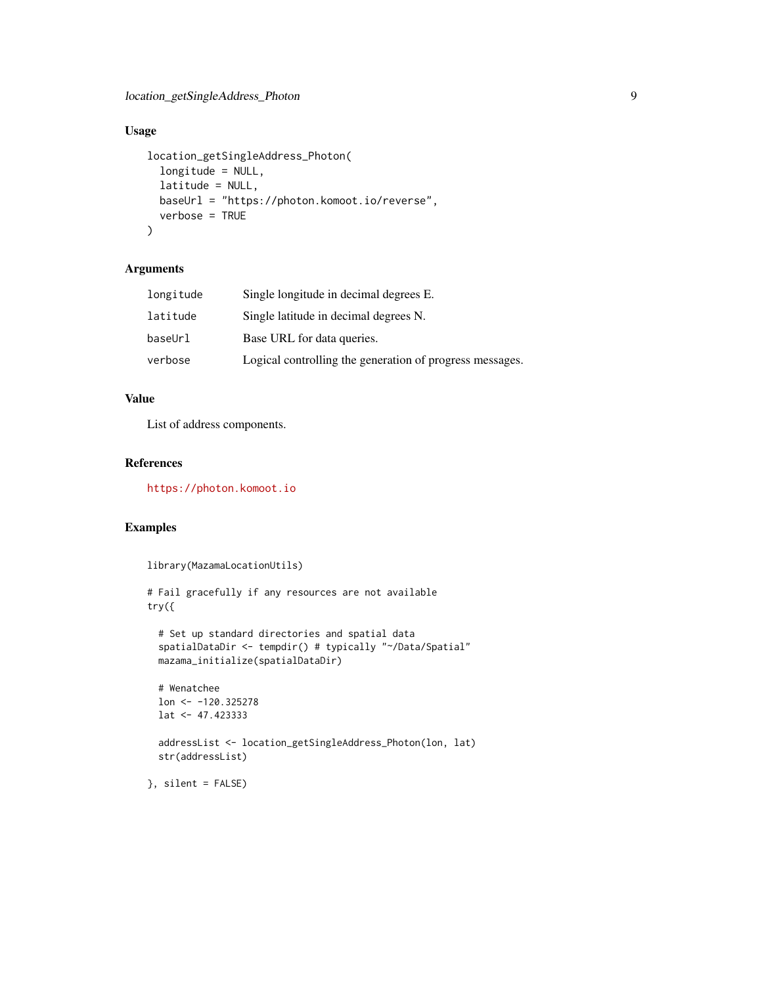### Usage

```
location_getSingleAddress_Photon(
  longitude = NULL,
  latitude = NULL,
 baseUrl = "https://photon.komoot.io/reverse",
  verbose = TRUE
\lambda
```
### Arguments

| longitude | Single longitude in decimal degrees E.                   |
|-----------|----------------------------------------------------------|
| latitude  | Single latitude in decimal degrees N.                    |
| baseUrl   | Base URL for data queries.                               |
| verbose   | Logical controlling the generation of progress messages. |
|           |                                                          |

### Value

List of address components.

#### References

<https://photon.komoot.io>

### Examples

```
library(MazamaLocationUtils)
# Fail gracefully if any resources are not available
try({
  # Set up standard directories and spatial data
  spatialDataDir <- tempdir() # typically "~/Data/Spatial"
  mazama_initialize(spatialDataDir)
  # Wenatchee
  lon <- -120.325278
  lat <- 47.423333
  addressList <- location_getSingleAddress_Photon(lon, lat)
  str(addressList)
}, silent = FALSE)
```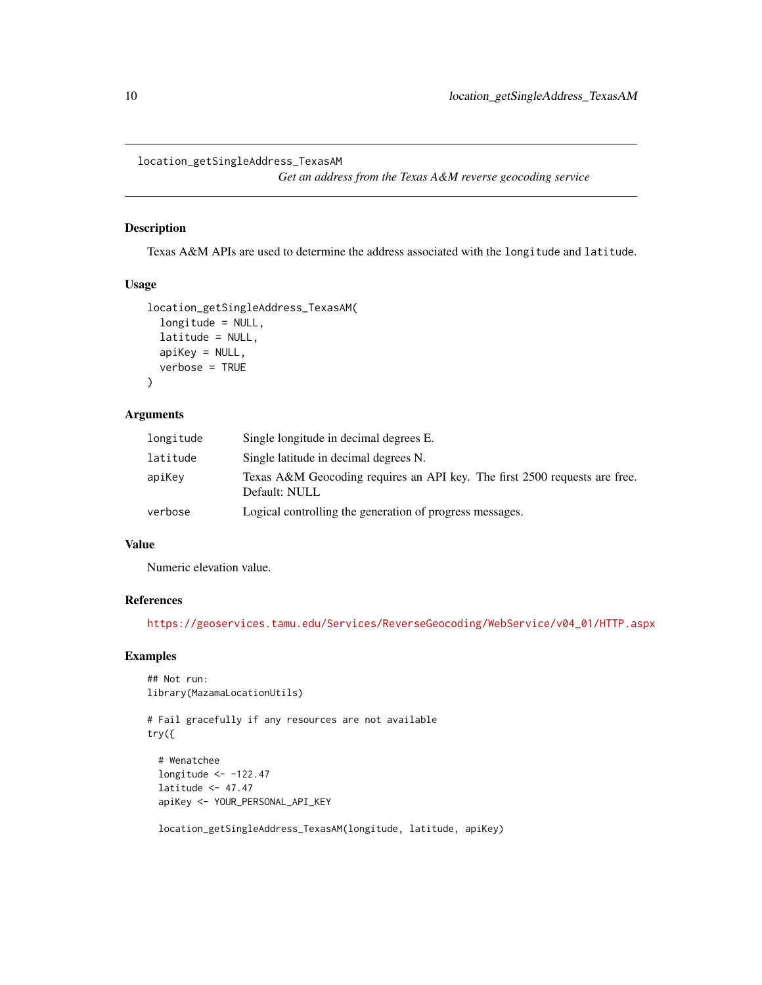<span id="page-9-0"></span>location\_getSingleAddress\_TexasAM

*Get an address from the Texas A&M reverse geocoding service*

### Description

Texas A&M APIs are used to determine the address associated with the longitude and latitude.

#### Usage

```
location_getSingleAddress_TexasAM(
  longitude = NULL,
  latitude = NULL,
 apiKey = NULL,
  verbose = TRUE
)
```
### Arguments

| longitude | Single longitude in decimal degrees E.                                                      |
|-----------|---------------------------------------------------------------------------------------------|
| latitude  | Single latitude in decimal degrees N.                                                       |
| apiKey    | Texas A&M Geocoding requires an API key. The first 2500 requests are free.<br>Default: NULL |
| verbose   | Logical controlling the generation of progress messages.                                    |

#### Value

Numeric elevation value.

#### References

[https://geoservices.tamu.edu/Services/ReverseGeocoding/WebService/v04\\_01/HTTP.aspx](https://geoservices.tamu.edu/Services/ReverseGeocoding/WebService/v04_01/HTTP.aspx)

### Examples

```
## Not run:
library(MazamaLocationUtils)
```
# Fail gracefully if any resources are not available try({

# Wenatchee longitude <- -122.47 latitude <- 47.47 apiKey <- YOUR\_PERSONAL\_API\_KEY

location\_getSingleAddress\_TexasAM(longitude, latitude, apiKey)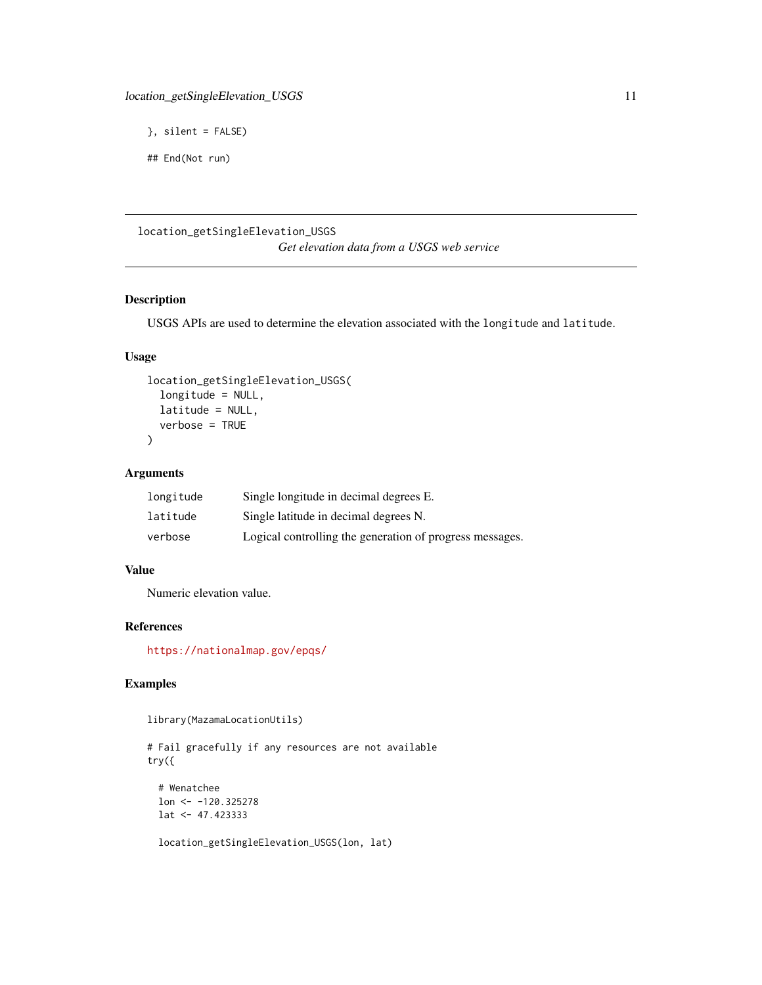```
}, silent = FALSE)
```

```
## End(Not run)
```
### location\_getSingleElevation\_USGS

*Get elevation data from a USGS web service*

### Description

USGS APIs are used to determine the elevation associated with the longitude and latitude.

### Usage

```
location_getSingleElevation_USGS(
  longitude = NULL,
  latitude = NULL,
  verbose = TRUE
\mathcal{L}
```
### Arguments

| longitude | Single longitude in decimal degrees E.                   |
|-----------|----------------------------------------------------------|
| latitude  | Single latitude in decimal degrees N.                    |
| verbose   | Logical controlling the generation of progress messages. |

### Value

Numeric elevation value.

#### References

<https://nationalmap.gov/epqs/>

### Examples

library(MazamaLocationUtils)

```
# Fail gracefully if any resources are not available
try({
 # Wenatchee
 lon <- -120.325278
 lat <- 47.423333
 location_getSingleElevation_USGS(lon, lat)
```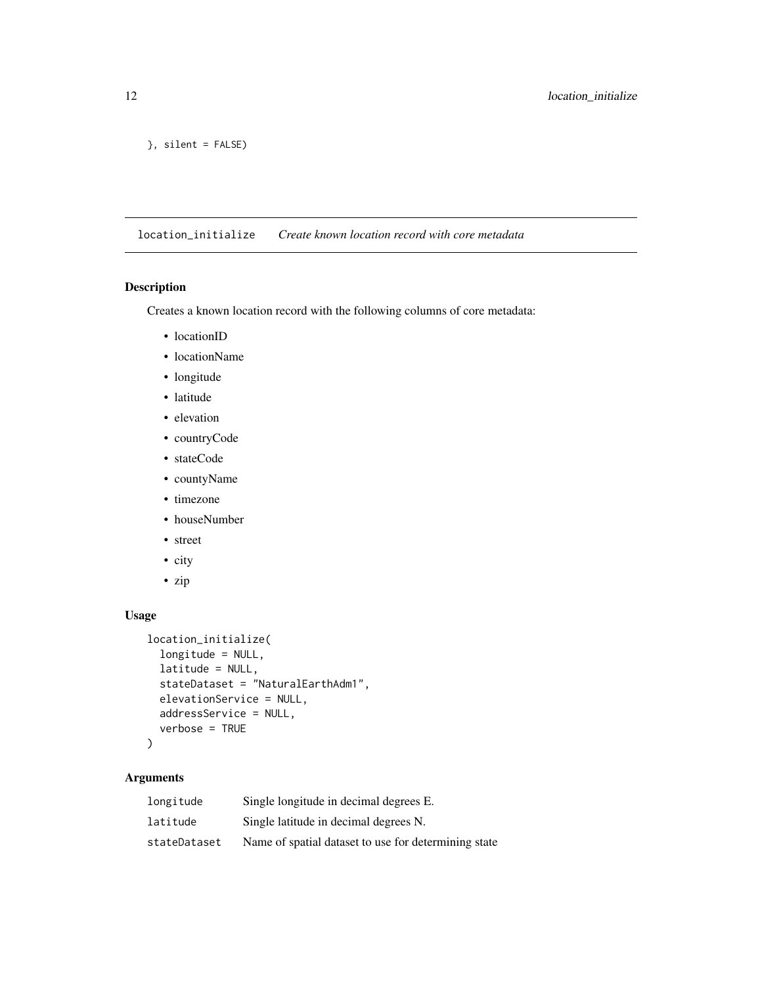```
}, silent = FALSE)
```
location\_initialize *Create known location record with core metadata*

### Description

Creates a known location record with the following columns of core metadata:

- locationID
- locationName
- longitude
- latitude
- elevation
- countryCode
- stateCode
- countyName
- timezone
- houseNumber
- street
- city
- zip

### Usage

```
location_initialize(
  longitude = NULL,
  latitude = NULL,
  stateDataset = "NaturalEarthAdm1",
  elevationService = NULL,
  addressService = NULL,
  verbose = TRUE
```

```
)
```
### Arguments

| longitude    | Single longitude in decimal degrees E.               |
|--------------|------------------------------------------------------|
| latitude     | Single latitude in decimal degrees N.                |
| stateDataset | Name of spatial dataset to use for determining state |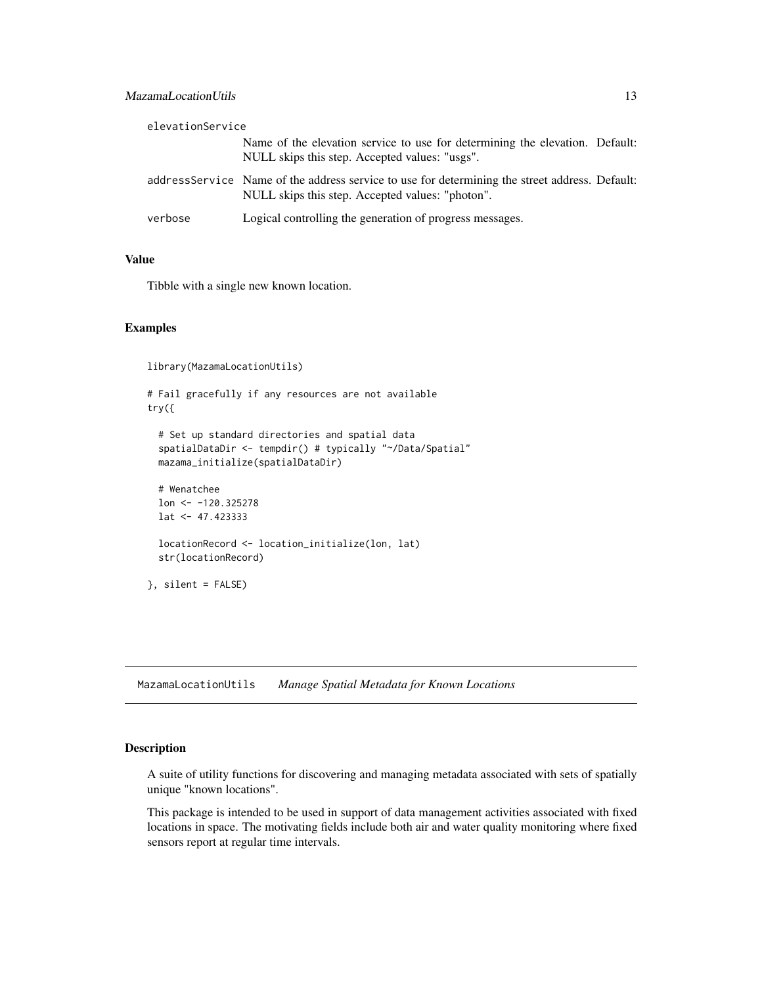<span id="page-12-0"></span>

| elevationService |                                                                                                                                                     |  |
|------------------|-----------------------------------------------------------------------------------------------------------------------------------------------------|--|
|                  | Name of the elevation service to use for determining the elevation. Default:<br>NULL skips this step. Accepted values: "usgs".                      |  |
|                  | address Service Name of the address service to use for determining the street address. Default:<br>NULL skips this step. Accepted values: "photon". |  |
| verbose          | Logical controlling the generation of progress messages.                                                                                            |  |

### Value

Tibble with a single new known location.

### Examples

library(MazamaLocationUtils)

```
# Fail gracefully if any resources are not available
try({
 # Set up standard directories and spatial data
```

```
spatialDataDir <- tempdir() # typically "~/Data/Spatial"
mazama_initialize(spatialDataDir)
```

```
# Wenatchee
lon <- -120.325278
lat <- 47.423333
locationRecord <- location_initialize(lon, lat)
str(locationRecord)
```
}, silent = FALSE)

MazamaLocationUtils *Manage Spatial Metadata for Known Locations*

#### Description

A suite of utility functions for discovering and managing metadata associated with sets of spatially unique "known locations".

This package is intended to be used in support of data management activities associated with fixed locations in space. The motivating fields include both air and water quality monitoring where fixed sensors report at regular time intervals.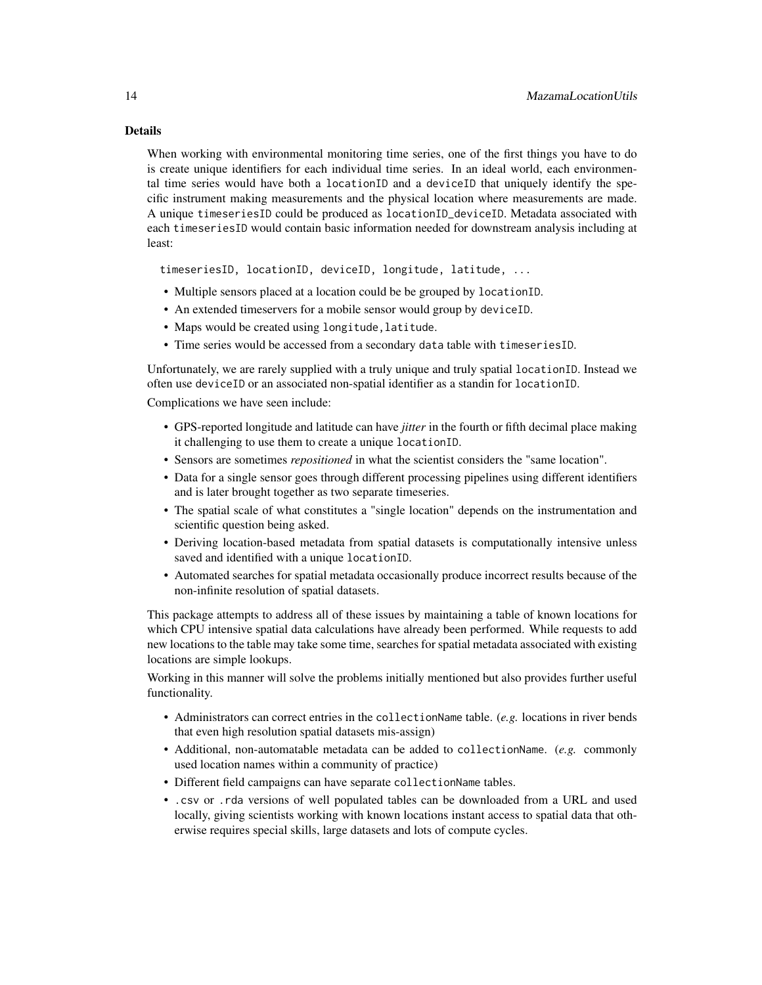### Details

When working with environmental monitoring time series, one of the first things you have to do is create unique identifiers for each individual time series. In an ideal world, each environmental time series would have both a locationID and a deviceID that uniquely identify the specific instrument making measurements and the physical location where measurements are made. A unique timeseriesID could be produced as locationID\_deviceID. Metadata associated with each timeseriesID would contain basic information needed for downstream analysis including at least:

timeseriesID, locationID, deviceID, longitude, latitude, ...

- Multiple sensors placed at a location could be be grouped by locationID.
- An extended timeservers for a mobile sensor would group by deviceID.
- Maps would be created using longitude, latitude.
- Time series would be accessed from a secondary data table with timeseriesID.

Unfortunately, we are rarely supplied with a truly unique and truly spatial locationID. Instead we often use deviceID or an associated non-spatial identifier as a standin for locationID.

Complications we have seen include:

- GPS-reported longitude and latitude can have *jitter* in the fourth or fifth decimal place making it challenging to use them to create a unique locationID.
- Sensors are sometimes *repositioned* in what the scientist considers the "same location".
- Data for a single sensor goes through different processing pipelines using different identifiers and is later brought together as two separate timeseries.
- The spatial scale of what constitutes a "single location" depends on the instrumentation and scientific question being asked.
- Deriving location-based metadata from spatial datasets is computationally intensive unless saved and identified with a unique locationID.
- Automated searches for spatial metadata occasionally produce incorrect results because of the non-infinite resolution of spatial datasets.

This package attempts to address all of these issues by maintaining a table of known locations for which CPU intensive spatial data calculations have already been performed. While requests to add new locations to the table may take some time, searches for spatial metadata associated with existing locations are simple lookups.

Working in this manner will solve the problems initially mentioned but also provides further useful functionality.

- Administrators can correct entries in the collectionName table. (*e.g.* locations in river bends that even high resolution spatial datasets mis-assign)
- Additional, non-automatable metadata can be added to collectionName. (*e.g.* commonly used location names within a community of practice)
- Different field campaigns can have separate collectionName tables.
- .csv or .rda versions of well populated tables can be downloaded from a URL and used locally, giving scientists working with known locations instant access to spatial data that otherwise requires special skills, large datasets and lots of compute cycles.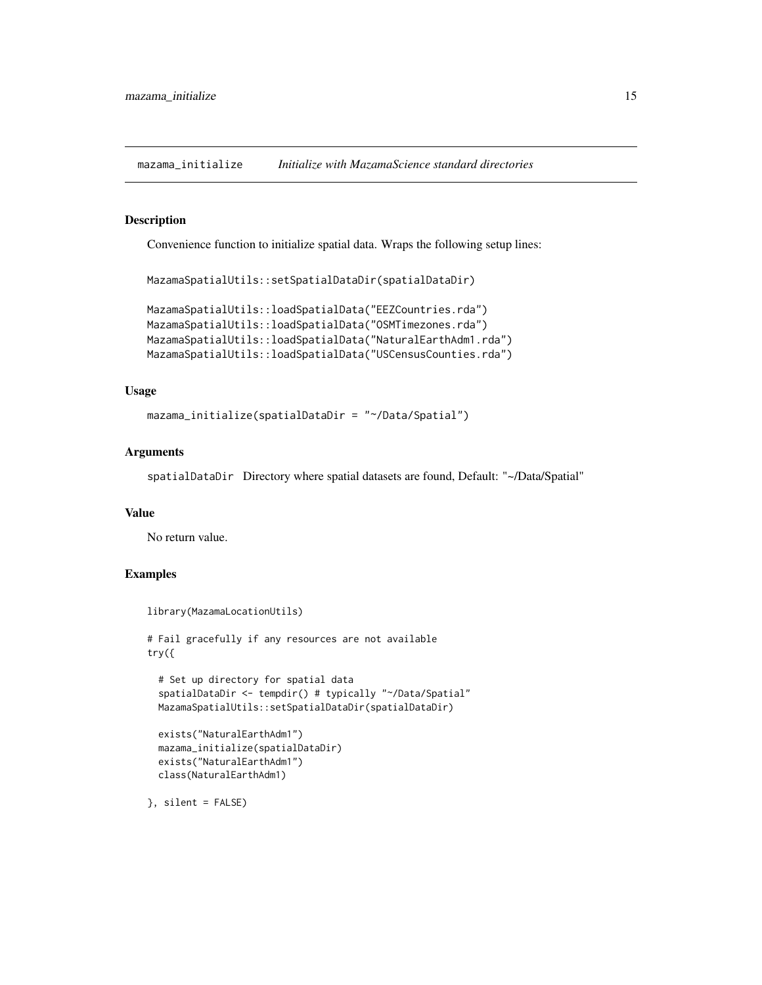<span id="page-14-0"></span>mazama\_initialize *Initialize with MazamaScience standard directories*

#### Description

Convenience function to initialize spatial data. Wraps the following setup lines:

MazamaSpatialUtils::setSpatialDataDir(spatialDataDir)

```
MazamaSpatialUtils::loadSpatialData("EEZCountries.rda")
MazamaSpatialUtils::loadSpatialData("OSMTimezones.rda")
MazamaSpatialUtils::loadSpatialData("NaturalEarthAdm1.rda")
MazamaSpatialUtils::loadSpatialData("USCensusCounties.rda")
```
### Usage

```
mazama_initialize(spatialDataDir = "~/Data/Spatial")
```
### Arguments

spatialDataDir Directory where spatial datasets are found, Default: "~/Data/Spatial"

### Value

No return value.

#### Examples

```
library(MazamaLocationUtils)
# Fail gracefully if any resources are not available
try({
  # Set up directory for spatial data
  spatialDataDir <- tempdir() # typically "~/Data/Spatial"
  MazamaSpatialUtils::setSpatialDataDir(spatialDataDir)
  exists("NaturalEarthAdm1")
  mazama_initialize(spatialDataDir)
  exists("NaturalEarthAdm1")
  class(NaturalEarthAdm1)
```
}, silent = FALSE)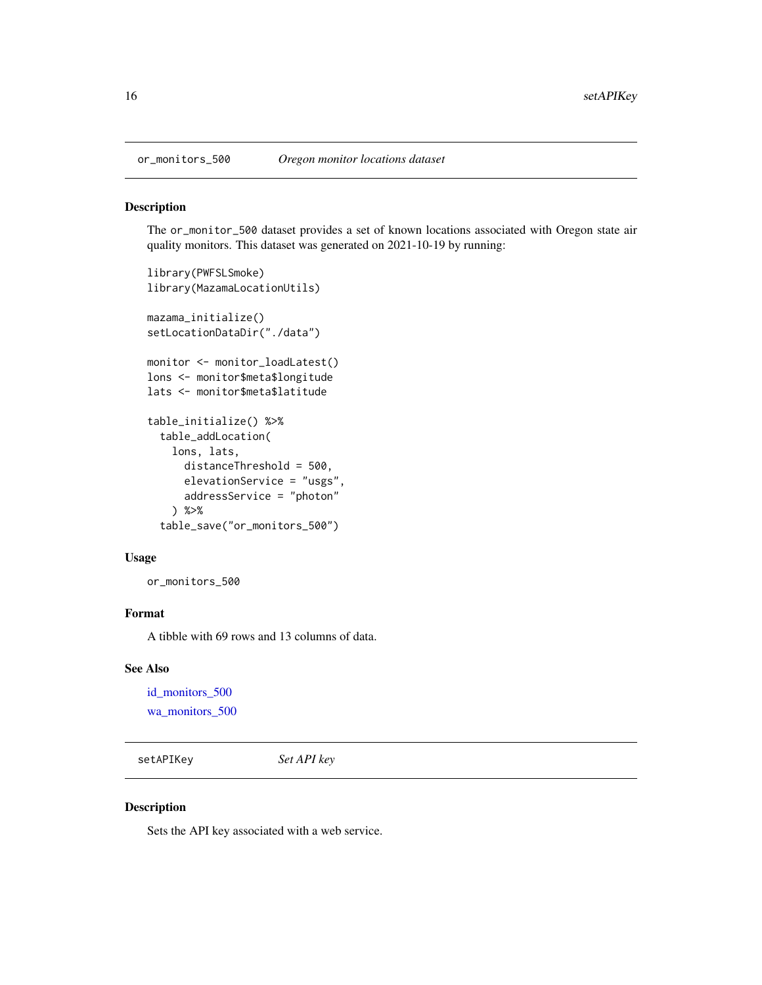<span id="page-15-1"></span><span id="page-15-0"></span>

The or\_monitor\_500 dataset provides a set of known locations associated with Oregon state air quality monitors. This dataset was generated on 2021-10-19 by running:

```
library(PWFSLSmoke)
library(MazamaLocationUtils)
mazama_initialize()
setLocationDataDir("./data")
monitor <- monitor_loadLatest()
lons <- monitor$meta$longitude
lats <- monitor$meta$latitude
table_initialize() %>%
  table_addLocation(
    lons, lats,
      distanceThreshold = 500,
      elevationService = "usgs",
      addressService = "photon"
    ) %>%
  table_save("or_monitors_500")
```
#### Usage

or\_monitors\_500

### Format

A tibble with 69 rows and 13 columns of data.

### See Also

[id\\_monitors\\_500](#page-3-1) [wa\\_monitors\\_500](#page-45-1)

setAPIKey *Set API key*

### Description

Sets the API key associated with a web service.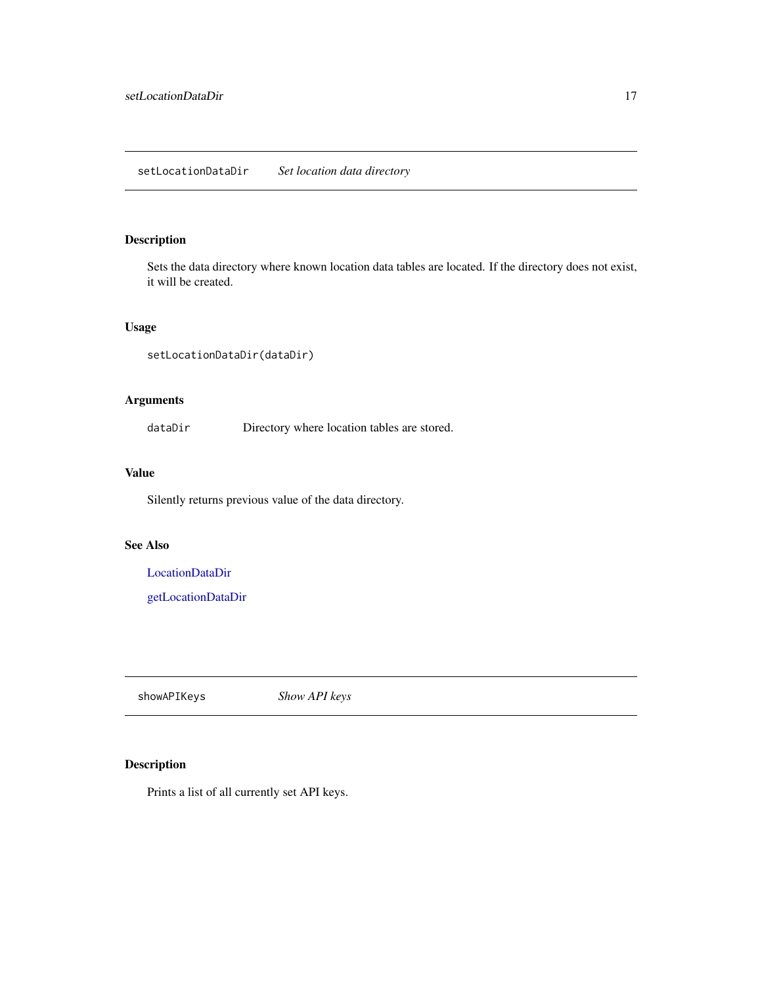<span id="page-16-1"></span><span id="page-16-0"></span>Sets the data directory where known location data tables are located. If the directory does not exist, it will be created.

### Usage

```
setLocationDataDir(dataDir)
```
### Arguments

dataDir Directory where location tables are stored.

### Value

Silently returns previous value of the data directory.

#### See Also

[LocationDataDir](#page-4-1)

[getLocationDataDir](#page-2-1)

showAPIKeys *Show API keys*

### Description

Prints a list of all currently set API keys.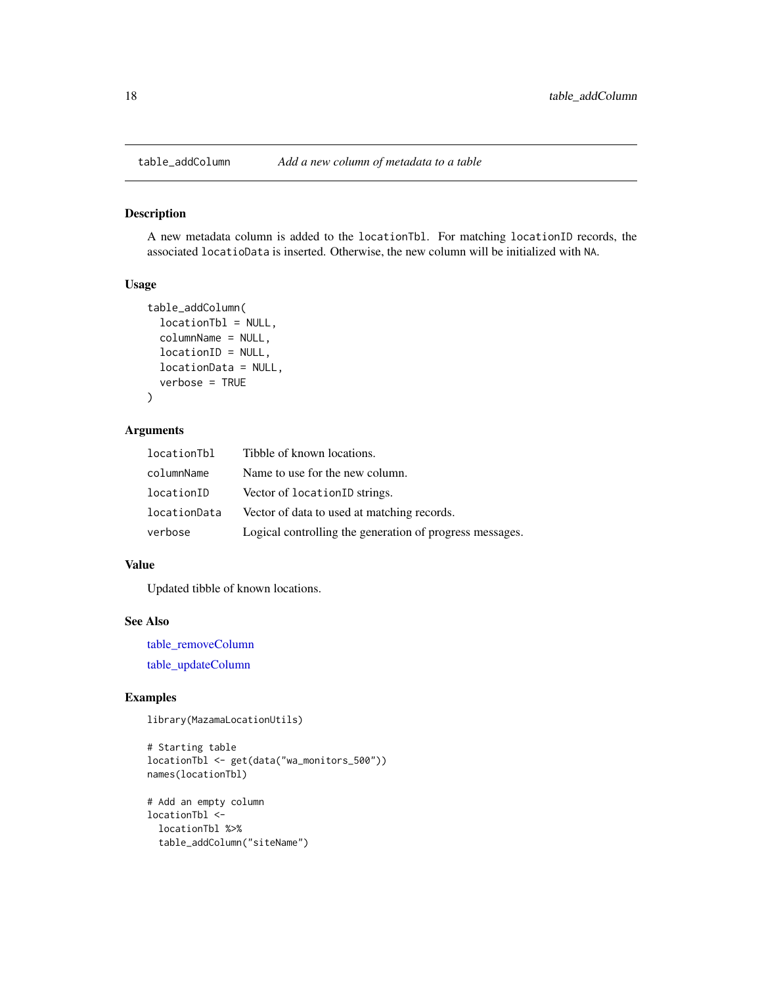<span id="page-17-1"></span><span id="page-17-0"></span>

A new metadata column is added to the locationTbl. For matching locationID records, the associated locatioData is inserted. Otherwise, the new column will be initialized with NA.

#### Usage

```
table_addColumn(
  locationTbl = NULL,
  columnName = NULL,
 locationID = NULL,
 locationData = NULL,
  verbose = TRUE
)
```
### Arguments

| locationTbl  | Tibble of known locations.                               |
|--------------|----------------------------------------------------------|
| columnName   | Name to use for the new column.                          |
| locationID   | Vector of locationID strings.                            |
| locationData | Vector of data to used at matching records.              |
| verbose      | Logical controlling the generation of progress messages. |

#### Value

Updated tibble of known locations.

### See Also

[table\\_removeColumn](#page-38-1)

[table\\_updateColumn](#page-41-1)

### Examples

library(MazamaLocationUtils)

```
# Starting table
locationTbl <- get(data("wa_monitors_500"))
names(locationTbl)
```

```
# Add an empty column
locationTbl <-
 locationTbl %>%
 table_addColumn("siteName")
```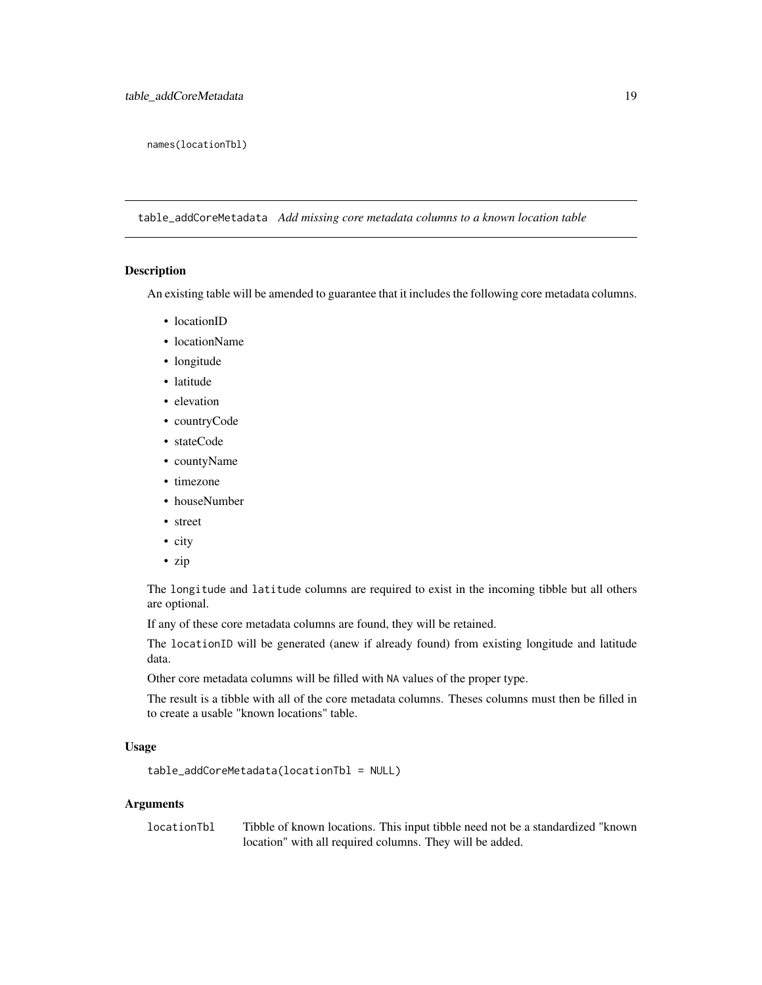<span id="page-18-0"></span>names(locationTbl)

table\_addCoreMetadata *Add missing core metadata columns to a known location table*

#### Description

An existing table will be amended to guarantee that it includes the following core metadata columns.

- locationID
- locationName
- longitude
- latitude
- elevation
- countryCode
- stateCode
- countyName
- timezone
- houseNumber
- street
- city
- zip

The longitude and latitude columns are required to exist in the incoming tibble but all others are optional.

If any of these core metadata columns are found, they will be retained.

The locationID will be generated (anew if already found) from existing longitude and latitude data.

Other core metadata columns will be filled with NA values of the proper type.

The result is a tibble with all of the core metadata columns. Theses columns must then be filled in to create a usable "known locations" table.

### Usage

```
table_addCoreMetadata(locationTbl = NULL)
```
#### Arguments

locationTbl Tibble of known locations. This input tibble need not be a standardized "known location" with all required columns. They will be added.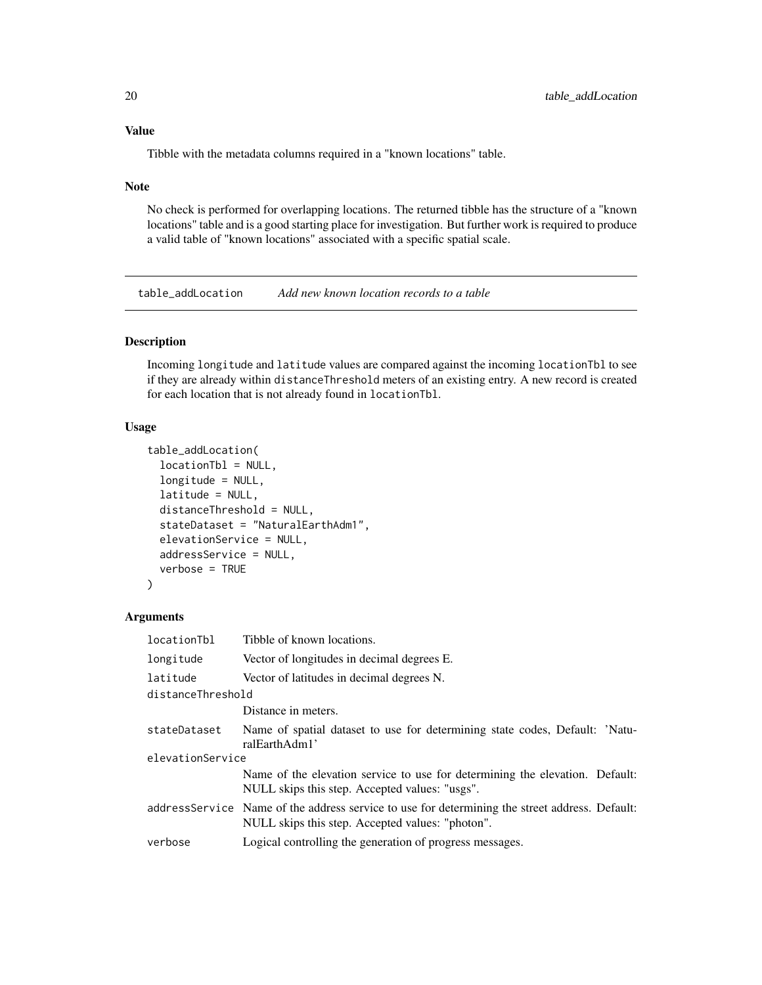#### <span id="page-19-0"></span>Value

Tibble with the metadata columns required in a "known locations" table.

#### Note

No check is performed for overlapping locations. The returned tibble has the structure of a "known locations" table and is a good starting place for investigation. But further work is required to produce a valid table of "known locations" associated with a specific spatial scale.

<span id="page-19-1"></span>table\_addLocation *Add new known location records to a table*

### Description

Incoming longitude and latitude values are compared against the incoming locationTbl to see if they are already within distanceThreshold meters of an existing entry. A new record is created for each location that is not already found in locationTbl.

#### Usage

```
table_addLocation(
  locationTbl = NULL,
  longitude = NULL,
  latitude = NULL,
  distanceThreshold = NULL,
  stateDataset = "NaturalEarthAdm1",
  elevationService = NULL,
  addressService = NULL,
  verbose = TRUE
)
```
#### Arguments

| locationTbl       | Tibble of known locations.                                                                                                                          |
|-------------------|-----------------------------------------------------------------------------------------------------------------------------------------------------|
| longitude         | Vector of longitudes in decimal degrees E.                                                                                                          |
| latitude          | Vector of latitudes in decimal degrees N.                                                                                                           |
| distanceThreshold |                                                                                                                                                     |
|                   | Distance in meters.                                                                                                                                 |
| stateDataset      | Name of spatial dataset to use for determining state codes, Default: 'Natu-<br>ralEarthAdm1'                                                        |
| elevationService  |                                                                                                                                                     |
|                   | Name of the elevation service to use for determining the elevation. Default:<br>NULL skips this step. Accepted values: "usgs".                      |
|                   | address Service Name of the address service to use for determining the street address. Default:<br>NULL skips this step. Accepted values: "photon". |
| verbose           | Logical controlling the generation of progress messages.                                                                                            |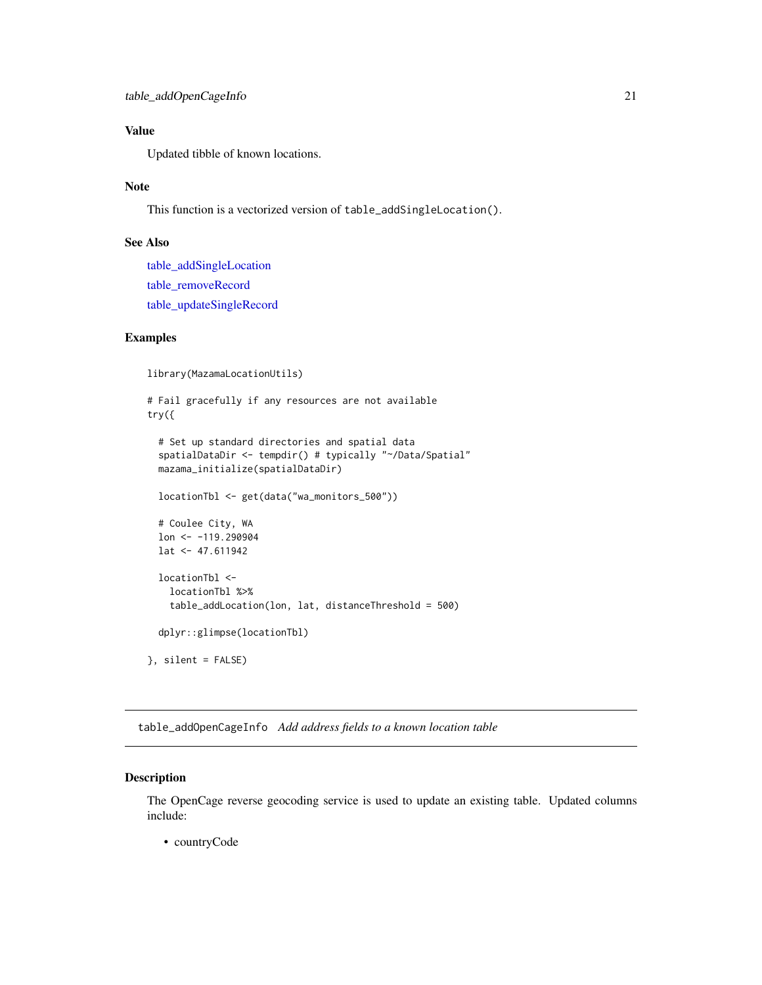### <span id="page-20-0"></span>Value

Updated tibble of known locations.

### Note

This function is a vectorized version of table\_addSingleLocation().

### See Also

[table\\_addSingleLocation](#page-22-1) [table\\_removeRecord](#page-39-1) [table\\_updateSingleRecord](#page-42-1)

### Examples

library(MazamaLocationUtils)

```
# Fail gracefully if any resources are not available
try({
 # Set up standard directories and spatial data
 spatialDataDir <- tempdir() # typically "~/Data/Spatial"
 mazama_initialize(spatialDataDir)
 locationTbl <- get(data("wa_monitors_500"))
 # Coulee City, WA
 lon <- -119.290904
 lat < -47.611942locationTbl <-
   locationTbl %>%
   table_addLocation(lon, lat, distanceThreshold = 500)
 dplyr::glimpse(locationTbl)
}, silent = FALSE)
```
table\_addOpenCageInfo *Add address fields to a known location table*

### Description

The OpenCage reverse geocoding service is used to update an existing table. Updated columns include:

• countryCode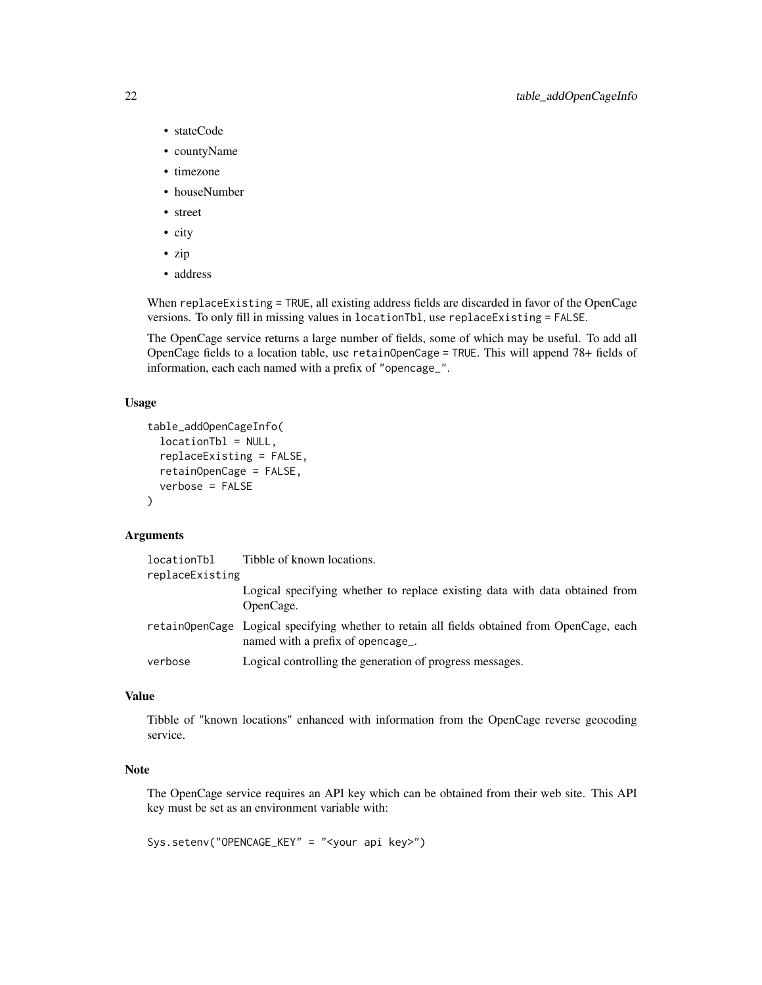- stateCode
- countyName
- timezone
- houseNumber
- street
- city
- zip
- address

When replaceExisting = TRUE, all existing address fields are discarded in favor of the OpenCage versions. To only fill in missing values in locationTbl, use replaceExisting = FALSE.

The OpenCage service returns a large number of fields, some of which may be useful. To add all OpenCage fields to a location table, use retainOpenCage = TRUE. This will append 78+ fields of information, each each named with a prefix of "opencage\_".

### Usage

```
table_addOpenCageInfo(
  locationTbl = NULL,
  replaceExisting = FALSE,
  retainOpenCage = FALSE,
  verbose = FALSE
\lambda
```
### Arguments

| locationTbl     | Tibble of known locations.                                                                                                     |
|-----------------|--------------------------------------------------------------------------------------------------------------------------------|
| replaceExisting |                                                                                                                                |
|                 | Logical specifying whether to replace existing data with data obtained from<br>OpenCage.                                       |
|                 | retainOpenCage Logical specifying whether to retain all fields obtained from OpenCage, each<br>named with a prefix of opencage |
| verbose         | Logical controlling the generation of progress messages.                                                                       |

### Value

Tibble of "known locations" enhanced with information from the OpenCage reverse geocoding service.

### Note

The OpenCage service requires an API key which can be obtained from their web site. This API key must be set as an environment variable with:

Sys.setenv("OPENCAGE\_KEY" = "<your api key>")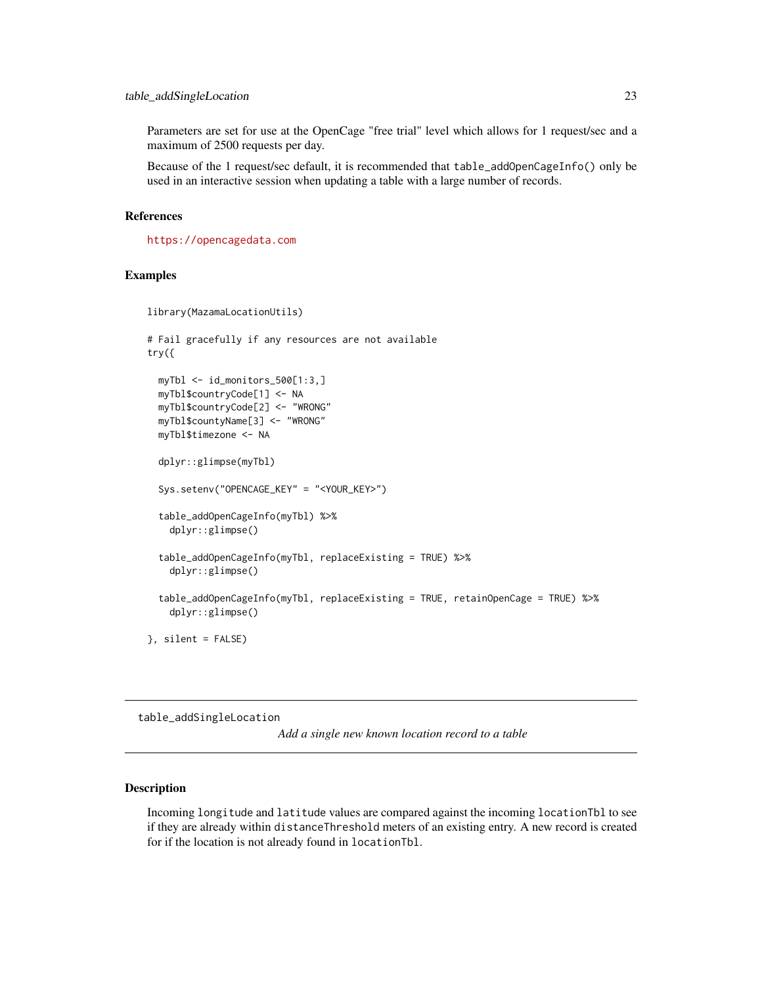<span id="page-22-0"></span>Parameters are set for use at the OpenCage "free trial" level which allows for 1 request/sec and a maximum of 2500 requests per day.

Because of the 1 request/sec default, it is recommended that table\_addOpenCageInfo() only be used in an interactive session when updating a table with a large number of records.

#### References

<https://opencagedata.com>

### Examples

```
library(MazamaLocationUtils)
# Fail gracefully if any resources are not available
try({
 myTbl <- id_monitors_500[1:3,]
 myTbl$countryCode[1] <- NA
 myTbl$countryCode[2] <- "WRONG"
 myTbl$countyName[3] <- "WRONG"
 myTbl$timezone <- NA
 dplyr::glimpse(myTbl)
 Sys.setenv("OPENCAGE_KEY" = "<YOUR_KEY>")
 table_addOpenCageInfo(myTbl) %>%
   dplyr::glimpse()
  table_addOpenCageInfo(myTbl, replaceExisting = TRUE) %>%
    dplyr::glimpse()
  table_addOpenCageInfo(myTbl, replaceExisting = TRUE, retainOpenCage = TRUE) %>%
    dplyr::glimpse()
}, silent = FALSE)
```
<span id="page-22-1"></span>table\_addSingleLocation

*Add a single new known location record to a table*

### Description

Incoming longitude and latitude values are compared against the incoming locationTbl to see if they are already within distanceThreshold meters of an existing entry. A new record is created for if the location is not already found in locationTbl.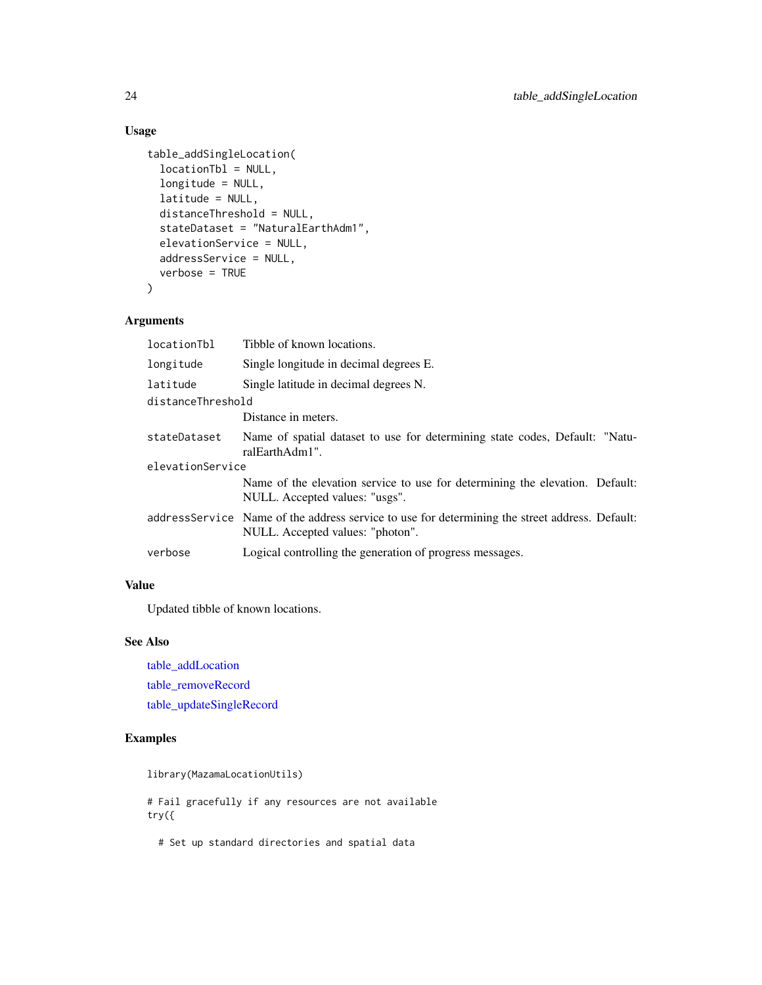### <span id="page-23-0"></span>Usage

```
table_addSingleLocation(
  locationTbl = NULL,
  longitude = NULL,
  latitude = NULL,
  distanceThreshold = NULL,
  stateDataset = "NaturalEarthAdm1",
  elevationService = NULL,
  addressService = NULL,
 verbose = TRUE
)
```
### Arguments

| locationTbl       | Tibble of known locations.                                                                                                          |  |
|-------------------|-------------------------------------------------------------------------------------------------------------------------------------|--|
| longitude         | Single longitude in decimal degrees E.                                                                                              |  |
| latitude          | Single latitude in decimal degrees N.                                                                                               |  |
| distanceThreshold |                                                                                                                                     |  |
|                   | Distance in meters.                                                                                                                 |  |
| stateDataset      | Name of spatial dataset to use for determining state codes, Default: "Natu-<br>ralEarthAdm1".                                       |  |
| elevationService  |                                                                                                                                     |  |
|                   | Name of the elevation service to use for determining the elevation. Default:<br>NULL. Accepted values: "usgs".                      |  |
|                   | address Service Name of the address service to use for determining the street address. Default:<br>NULL. Accepted values: "photon". |  |
| verbose           | Logical controlling the generation of progress messages.                                                                            |  |
|                   |                                                                                                                                     |  |

### Value

Updated tibble of known locations.

### See Also

[table\\_addLocation](#page-19-1) [table\\_removeRecord](#page-39-1) [table\\_updateSingleRecord](#page-42-1)

### Examples

library(MazamaLocationUtils)

# Fail gracefully if any resources are not available try({

# Set up standard directories and spatial data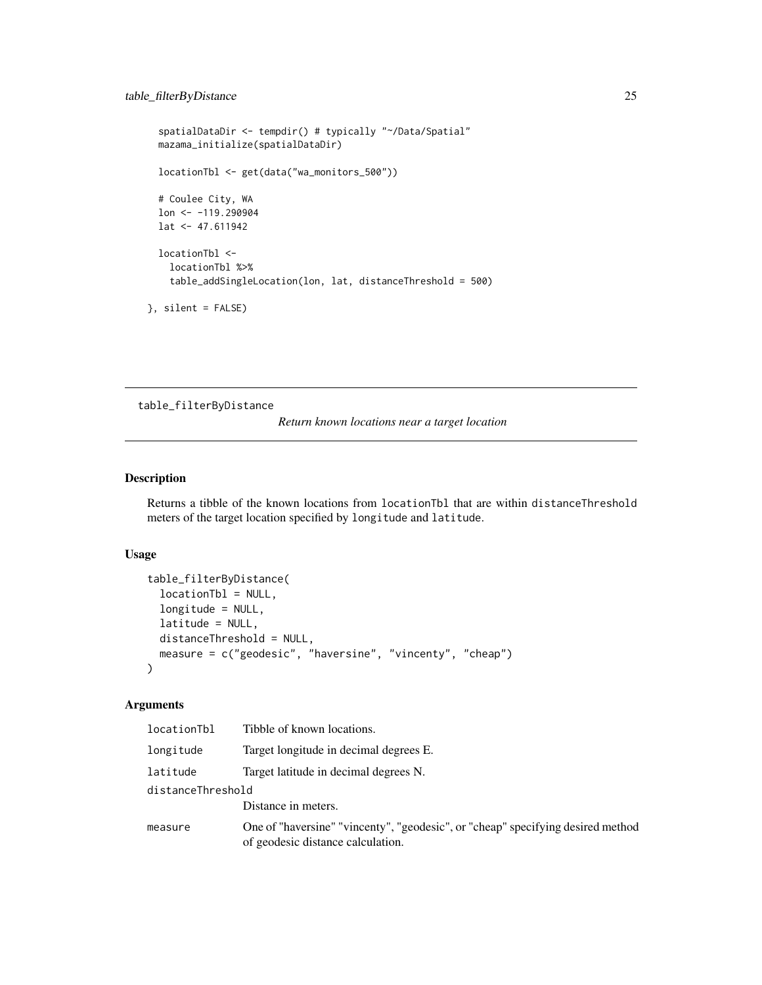```
spatialDataDir <- tempdir() # typically "~/Data/Spatial"
 mazama_initialize(spatialDataDir)
 locationTbl <- get(data("wa_monitors_500"))
 # Coulee City, WA
 lon <- -119.290904
 lat <- 47.611942
 locationTbl <-
   locationTbl %>%
    table_addSingleLocation(lon, lat, distanceThreshold = 500)
}, silent = FALSE)
```
table\_filterByDistance

*Return known locations near a target location*

### Description

Returns a tibble of the known locations from locationTbl that are within distanceThreshold meters of the target location specified by longitude and latitude.

### Usage

```
table_filterByDistance(
  locationTbl = NULL,
  longitude = NULL,
  latitude = NULL,
  distanceThreshold = NULL,
 measure = c("geodesic", "haversine", "vincenty", "cheap")
)
```
### Arguments

| locationTbl       | Tibble of known locations.                                                                                           |  |
|-------------------|----------------------------------------------------------------------------------------------------------------------|--|
| longitude         | Target longitude in decimal degrees E.                                                                               |  |
| latitude          | Target latitude in decimal degrees N.                                                                                |  |
| distanceThreshold |                                                                                                                      |  |
|                   | Distance in meters.                                                                                                  |  |
| measure           | One of "haversine" "vincenty", "geodesic", or "cheap" specifying desired method<br>of geodesic distance calculation. |  |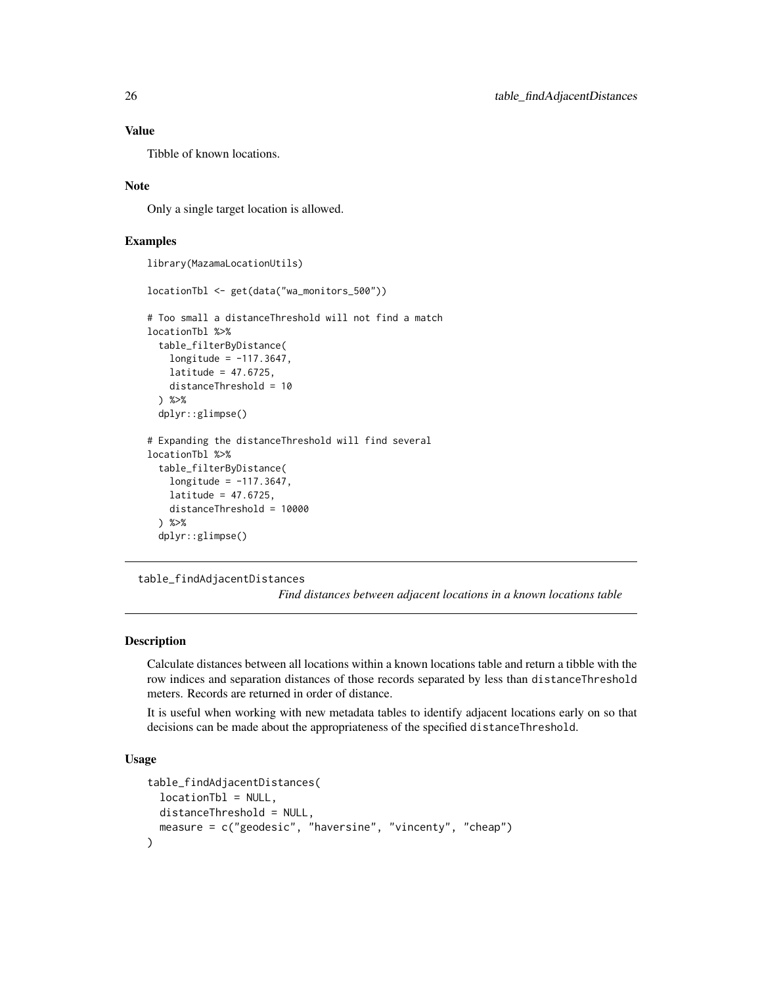### Value

Tibble of known locations.

### Note

Only a single target location is allowed.

### Examples

library(MazamaLocationUtils)

```
locationTbl <- get(data("wa_monitors_500"))
# Too small a distanceThreshold will not find a match
locationTbl %>%
 table_filterByDistance(
   longitude = -117.3647,
   latitude = 47.6725,
   distanceThreshold = 10
 ) %>%
 dplyr::glimpse()
# Expanding the distanceThreshold will find several
locationTbl %>%
 table_filterByDistance(
   longitude = -117.3647,
   latitude = 47.6725,
   distanceThreshold = 10000
 ) %>%
 dplyr::glimpse()
```
table\_findAdjacentDistances

*Find distances between adjacent locations in a known locations table*

#### Description

Calculate distances between all locations within a known locations table and return a tibble with the row indices and separation distances of those records separated by less than distanceThreshold meters. Records are returned in order of distance.

It is useful when working with new metadata tables to identify adjacent locations early on so that decisions can be made about the appropriateness of the specified distanceThreshold.

### Usage

```
table_findAdjacentDistances(
 locationTbl = NULL,
 distanceThreshold = NULL,
 measure = c("geodesic", "haversine", "vincenty", "cheap")
)
```
<span id="page-25-0"></span>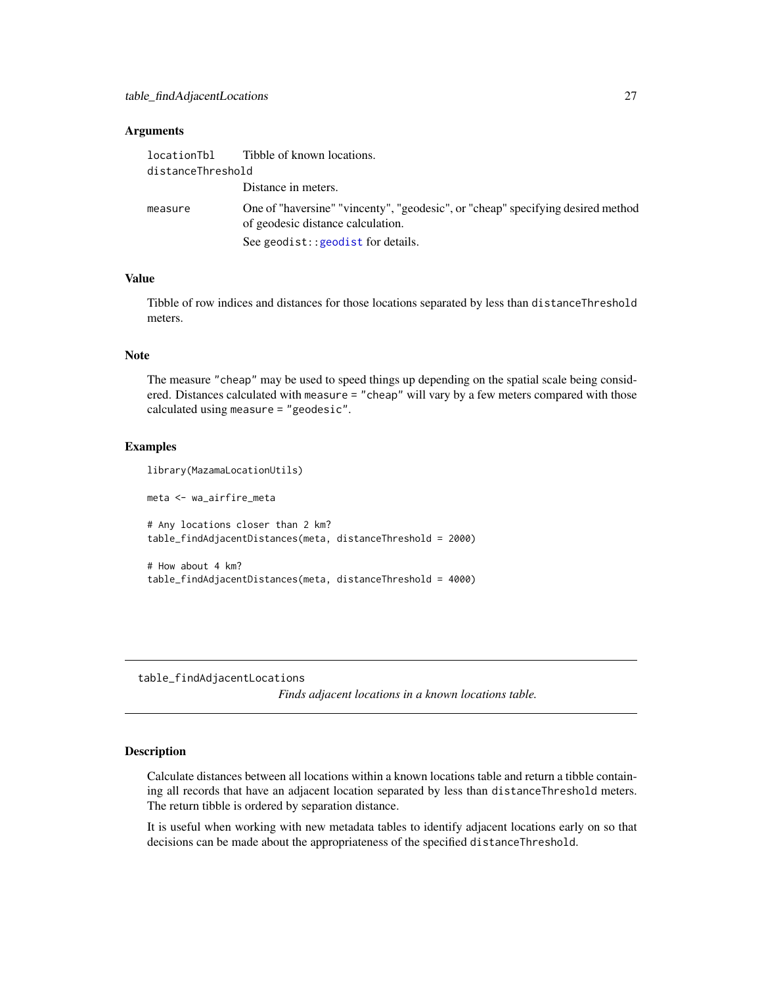#### <span id="page-26-0"></span>**Arguments**

|                   | location Theory Tibble of known locations.                                                                           |
|-------------------|----------------------------------------------------------------------------------------------------------------------|
| distanceThreshold |                                                                                                                      |
|                   | Distance in meters.                                                                                                  |
| measure           | One of "haversine" "vincenty", "geodesic", or "cheap" specifying desired method<br>of geodesic distance calculation. |
|                   | See geodist:: geodist for details.                                                                                   |

### Value

Tibble of row indices and distances for those locations separated by less than distanceThreshold meters.

### Note

The measure "cheap" may be used to speed things up depending on the spatial scale being considered. Distances calculated with measure = "cheap" will vary by a few meters compared with those calculated using measure = "geodesic".

#### Examples

```
library(MazamaLocationUtils)
meta <- wa_airfire_meta
# Any locations closer than 2 km?
table_findAdjacentDistances(meta, distanceThreshold = 2000)
# How about 4 km?
table_findAdjacentDistances(meta, distanceThreshold = 4000)
```
table\_findAdjacentLocations

*Finds adjacent locations in a known locations table.*

### **Description**

Calculate distances between all locations within a known locations table and return a tibble containing all records that have an adjacent location separated by less than distanceThreshold meters. The return tibble is ordered by separation distance.

It is useful when working with new metadata tables to identify adjacent locations early on so that decisions can be made about the appropriateness of the specified distanceThreshold.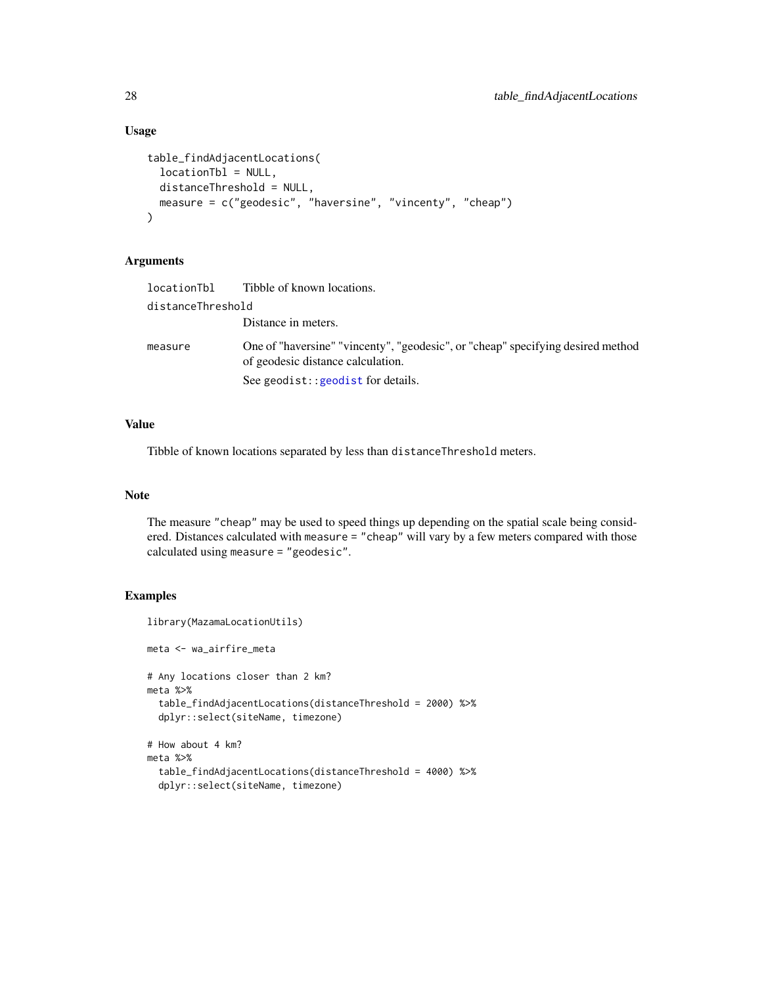### Usage

```
table_findAdjacentLocations(
  locationTbl = NULL,
 distanceThreshold = NULL,
 measure = c("geodesic", "haversine", "vincenty", "cheap")
)
```
### Arguments

| locationTbl       | Tibble of known locations.                                                                                           |  |
|-------------------|----------------------------------------------------------------------------------------------------------------------|--|
| distanceThreshold |                                                                                                                      |  |
|                   | Distance in meters.                                                                                                  |  |
| measure           | One of "haversine" "vincenty", "geodesic", or "cheap" specifying desired method<br>of geodesic distance calculation. |  |
|                   | See geodist:: geodist for details.                                                                                   |  |

### Value

Tibble of known locations separated by less than distanceThreshold meters.

### Note

The measure "cheap" may be used to speed things up depending on the spatial scale being considered. Distances calculated with measure = "cheap" will vary by a few meters compared with those calculated using measure = "geodesic".

### Examples

```
library(MazamaLocationUtils)
meta <- wa_airfire_meta
# Any locations closer than 2 km?
meta %>%
  table_findAdjacentLocations(distanceThreshold = 2000) %>%
  dplyr::select(siteName, timezone)
# How about 4 km?
meta %>%
  table_findAdjacentLocations(distanceThreshold = 4000) %>%
  dplyr::select(siteName, timezone)
```
<span id="page-27-0"></span>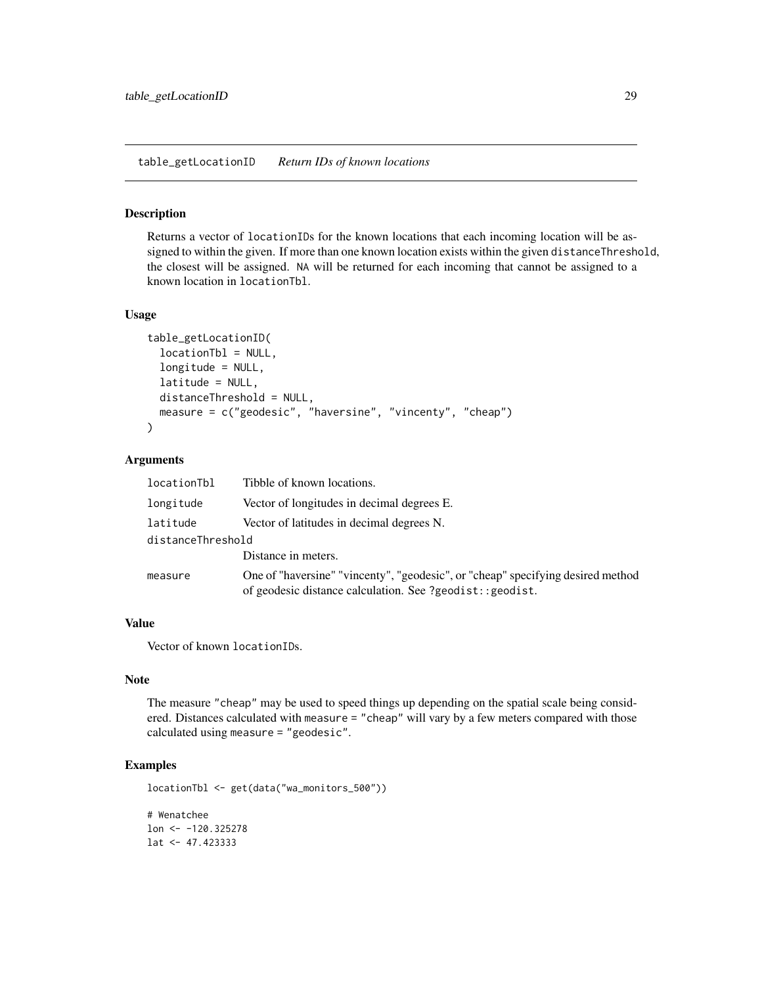<span id="page-28-0"></span>table\_getLocationID *Return IDs of known locations*

#### Description

Returns a vector of locationIDs for the known locations that each incoming location will be assigned to within the given. If more than one known location exists within the given distanceThreshold, the closest will be assigned. NA will be returned for each incoming that cannot be assigned to a known location in locationTbl.

### Usage

```
table_getLocationID(
  locationTbl = NULL,
  longitude = NULL,
  latitude = NULL,
 distanceThreshold = NULL,
 measure = c("geodesic", "haversine", "vincenty", "cheap")
)
```
### **Arguments**

| locationTbl       | Tibble of known locations.                                                                                                                   |
|-------------------|----------------------------------------------------------------------------------------------------------------------------------------------|
| longitude         | Vector of longitudes in decimal degrees E.                                                                                                   |
| latitude          | Vector of latitudes in decimal degrees N.                                                                                                    |
| distanceThreshold |                                                                                                                                              |
|                   | Distance in meters.                                                                                                                          |
| measure           | One of "haversine" "vincenty", "geodesic", or "cheap" specifying desired method<br>of geodesic distance calculation. See ?geodist:: geodist. |

#### Value

Vector of known locationIDs.

#### Note

The measure "cheap" may be used to speed things up depending on the spatial scale being considered. Distances calculated with measure = "cheap" will vary by a few meters compared with those calculated using measure = "geodesic".

### Examples

locationTbl <- get(data("wa\_monitors\_500"))

```
# Wenatchee
lon <- -120.325278
lat <- 47.423333
```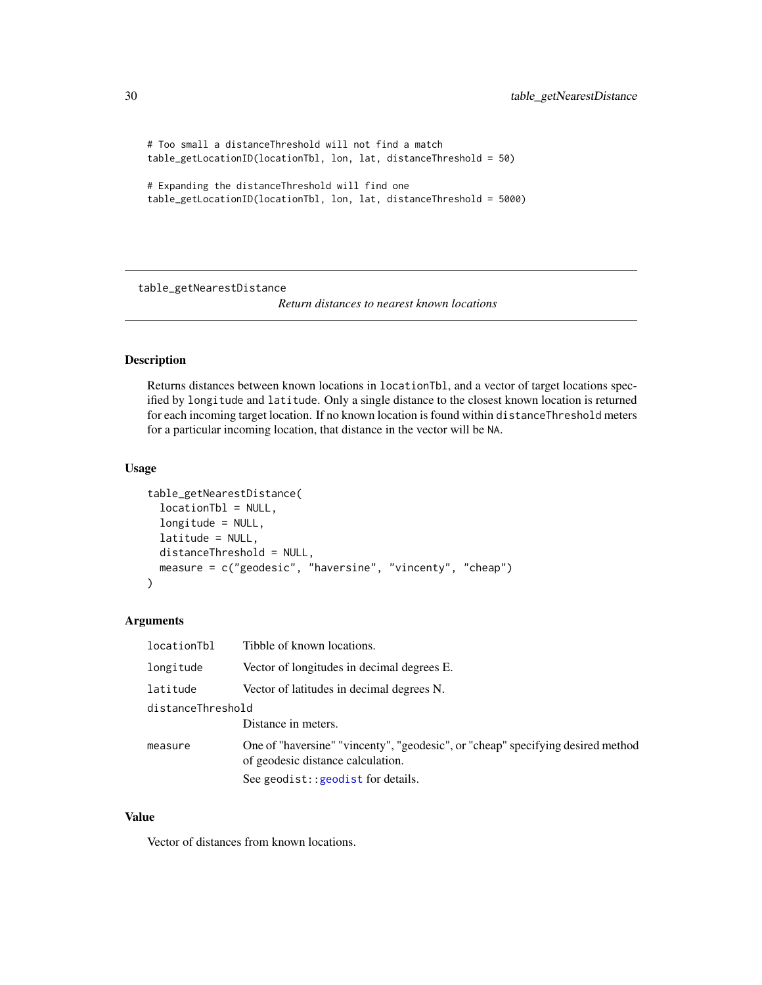```
# Too small a distanceThreshold will not find a match
table_getLocationID(locationTbl, lon, lat, distanceThreshold = 50)
```

```
# Expanding the distanceThreshold will find one
table_getLocationID(locationTbl, lon, lat, distanceThreshold = 5000)
```
table\_getNearestDistance

*Return distances to nearest known locations*

### Description

Returns distances between known locations in locationTbl, and a vector of target locations specified by longitude and latitude. Only a single distance to the closest known location is returned for each incoming target location. If no known location is found within distanceThreshold meters for a particular incoming location, that distance in the vector will be NA.

#### Usage

```
table_getNearestDistance(
  locationTbl = NULL,
  longitude = NULL,
  latitude = NULL,
 distanceThreshold = NULL,
 measure = c("geodesic", "haversine", "vincenty", "cheap")
)
```
#### Arguments

| locationTbl       | Tibble of known locations.                                                                                           |  |
|-------------------|----------------------------------------------------------------------------------------------------------------------|--|
| longitude         | Vector of longitudes in decimal degrees E.                                                                           |  |
| latitude          | Vector of latitudes in decimal degrees N.                                                                            |  |
| distanceThreshold |                                                                                                                      |  |
|                   | Distance in meters.                                                                                                  |  |
| measure           | One of "haversine" "vincenty", "geodesic", or "cheap" specifying desired method<br>of geodesic distance calculation. |  |
|                   | See geodist:: geodist for details.                                                                                   |  |

#### Value

Vector of distances from known locations.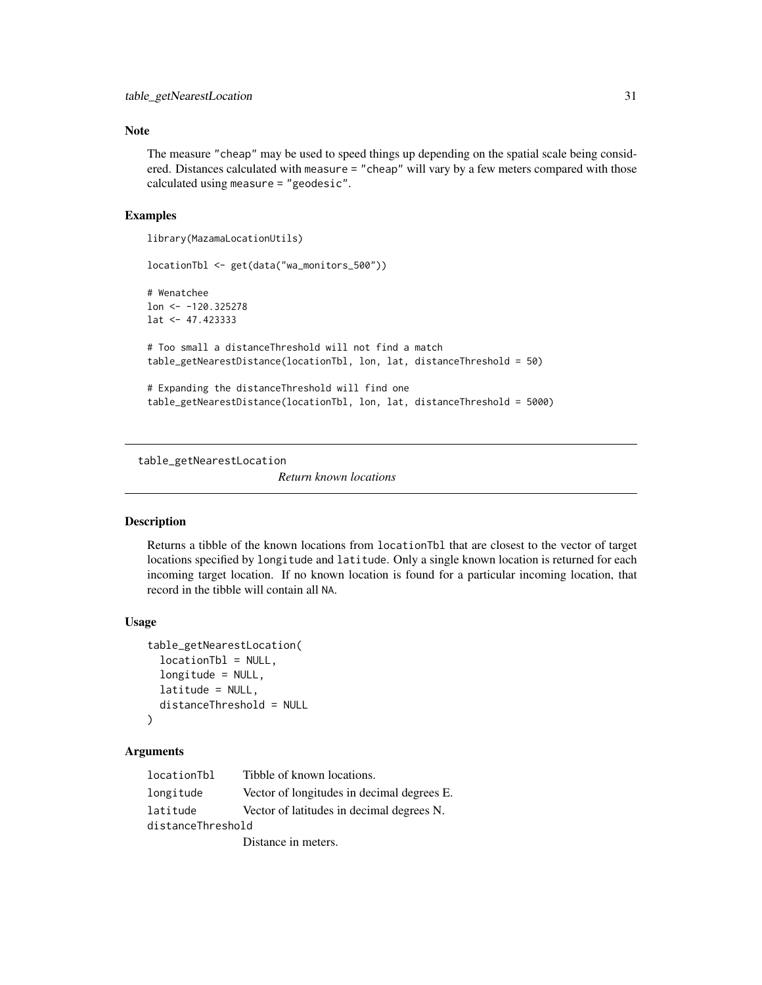### <span id="page-30-0"></span>Note

The measure "cheap" may be used to speed things up depending on the spatial scale being considered. Distances calculated with measure = "cheap" will vary by a few meters compared with those calculated using measure = "geodesic".

#### Examples

```
library(MazamaLocationUtils)
locationTbl <- get(data("wa_monitors_500"))
# Wenatchee
lon < -120.325278lat <- 47.423333
# Too small a distanceThreshold will not find a match
table_getNearestDistance(locationTbl, lon, lat, distanceThreshold = 50)
# Expanding the distanceThreshold will find one
table_getNearestDistance(locationTbl, lon, lat, distanceThreshold = 5000)
```
table\_getNearestLocation

*Return known locations*

### Description

Returns a tibble of the known locations from locationTbl that are closest to the vector of target locations specified by longitude and latitude. Only a single known location is returned for each incoming target location. If no known location is found for a particular incoming location, that record in the tibble will contain all NA.

### Usage

```
table_getNearestLocation(
  locationTbl = NULL,
  longitude = NULL,
  latitude = NULL,
  distanceThreshold = NULL
\mathcal{L}
```
#### Arguments

| locationTbl       | Tibble of known locations.                 |
|-------------------|--------------------------------------------|
| longitude         | Vector of longitudes in decimal degrees E. |
| latitude          | Vector of latitudes in decimal degrees N.  |
| distanceThreshold |                                            |
|                   | Distance in meters.                        |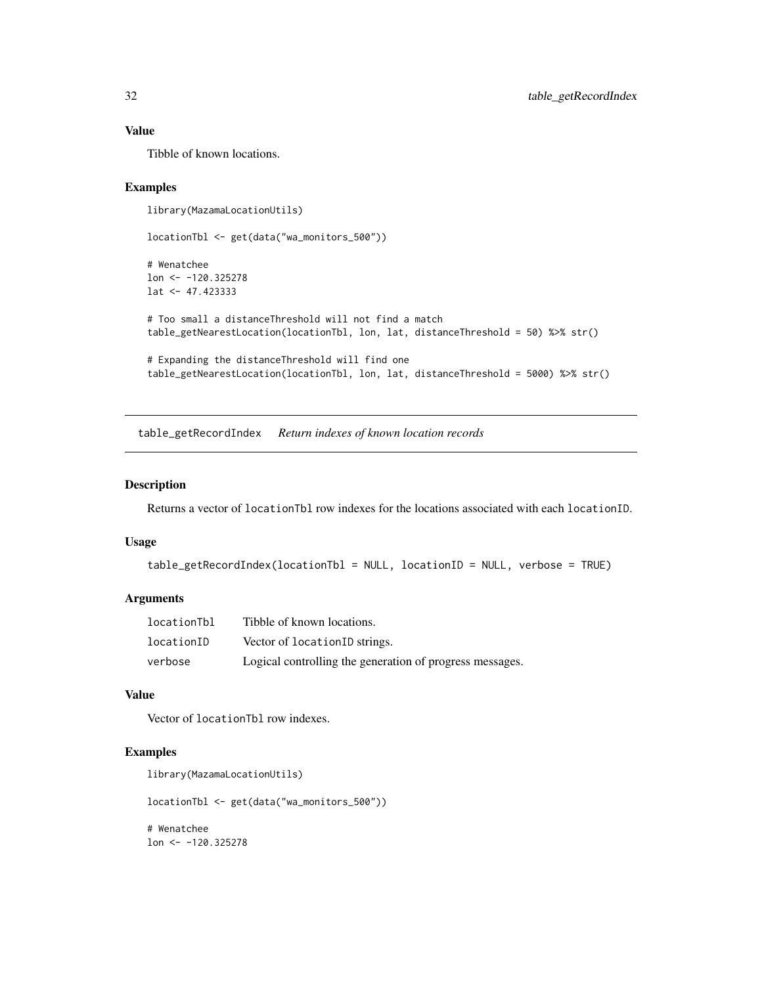### Value

Tibble of known locations.

### Examples

```
library(MazamaLocationUtils)
```

```
locationTbl <- get(data("wa_monitors_500"))
```

```
# Wenatchee
lon <- -120.325278
lat <- 47.423333
```

```
# Too small a distanceThreshold will not find a match
table_getNearestLocation(locationTbl, lon, lat, distanceThreshold = 50) %>% str()
```

```
# Expanding the distanceThreshold will find one
table_getNearestLocation(locationTbl, lon, lat, distanceThreshold = 5000) %>% str()
```
table\_getRecordIndex *Return indexes of known location records*

#### Description

Returns a vector of locationTbl row indexes for the locations associated with each locationID.

#### Usage

```
table_getRecordIndex(locationTbl = NULL, locationID = NULL, verbose = TRUE)
```
#### Arguments

| locationTbl | Tibble of known locations.                               |
|-------------|----------------------------------------------------------|
| locationID  | Vector of locationID strings.                            |
| verbose     | Logical controlling the generation of progress messages. |

#### Value

Vector of locationTbl row indexes.

#### Examples

```
library(MazamaLocationUtils)
```
locationTbl <- get(data("wa\_monitors\_500"))

# Wenatchee lon <- -120.325278

<span id="page-31-0"></span>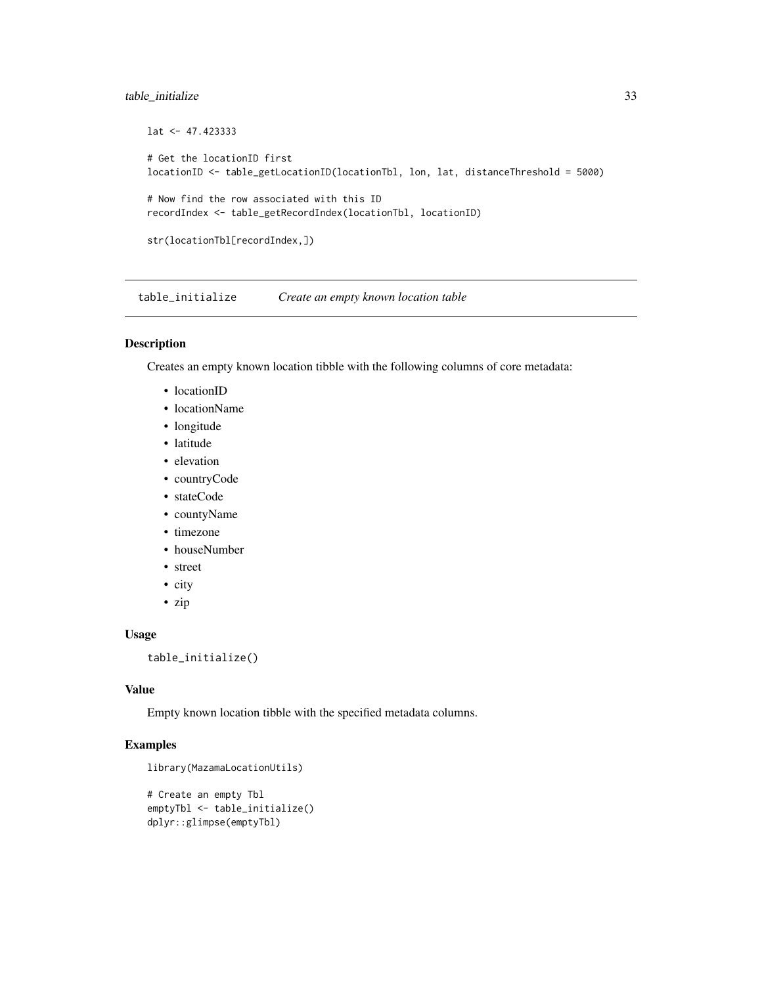### <span id="page-32-0"></span>table\_initialize 33

```
lat <- 47.423333
# Get the locationID first
locationID <- table_getLocationID(locationTbl, lon, lat, distanceThreshold = 5000)
# Now find the row associated with this ID
recordIndex <- table_getRecordIndex(locationTbl, locationID)
str(locationTbl[recordIndex,])
```
table\_initialize *Create an empty known location table*

#### Description

Creates an empty known location tibble with the following columns of core metadata:

- locationID
- locationName
- longitude
- latitude
- elevation
- countryCode
- stateCode
- countyName
- timezone
- houseNumber
- street
- city
- zip

### Usage

table\_initialize()

#### Value

Empty known location tibble with the specified metadata columns.

### Examples

```
library(MazamaLocationUtils)
```

```
# Create an empty Tbl
emptyTbl <- table_initialize()
dplyr::glimpse(emptyTbl)
```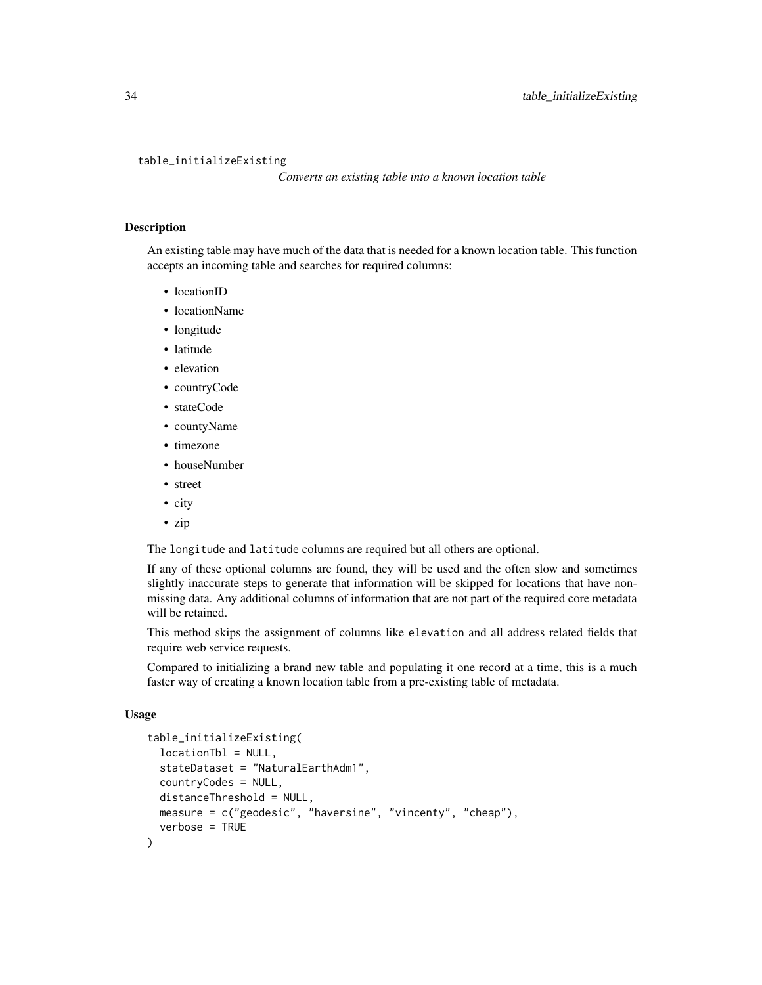#### <span id="page-33-0"></span>table\_initializeExisting

*Converts an existing table into a known location table*

### **Description**

An existing table may have much of the data that is needed for a known location table. This function accepts an incoming table and searches for required columns:

- locationID
- locationName
- longitude
- latitude
- elevation
- countryCode
- stateCode
- countyName
- timezone
- houseNumber
- street
- city
- zip

The longitude and latitude columns are required but all others are optional.

If any of these optional columns are found, they will be used and the often slow and sometimes slightly inaccurate steps to generate that information will be skipped for locations that have nonmissing data. Any additional columns of information that are not part of the required core metadata will be retained.

This method skips the assignment of columns like elevation and all address related fields that require web service requests.

Compared to initializing a brand new table and populating it one record at a time, this is a much faster way of creating a known location table from a pre-existing table of metadata.

### Usage

```
table_initializeExisting(
  locationTbl = NULL,
  stateDataset = "NaturalEarthAdm1",
  countryCodes = NULL,
  distanceThreshold = NULL,
 measure = c("geodesic", "haversine", "vincenty", "cheap"),
  verbose = TRUE
)
```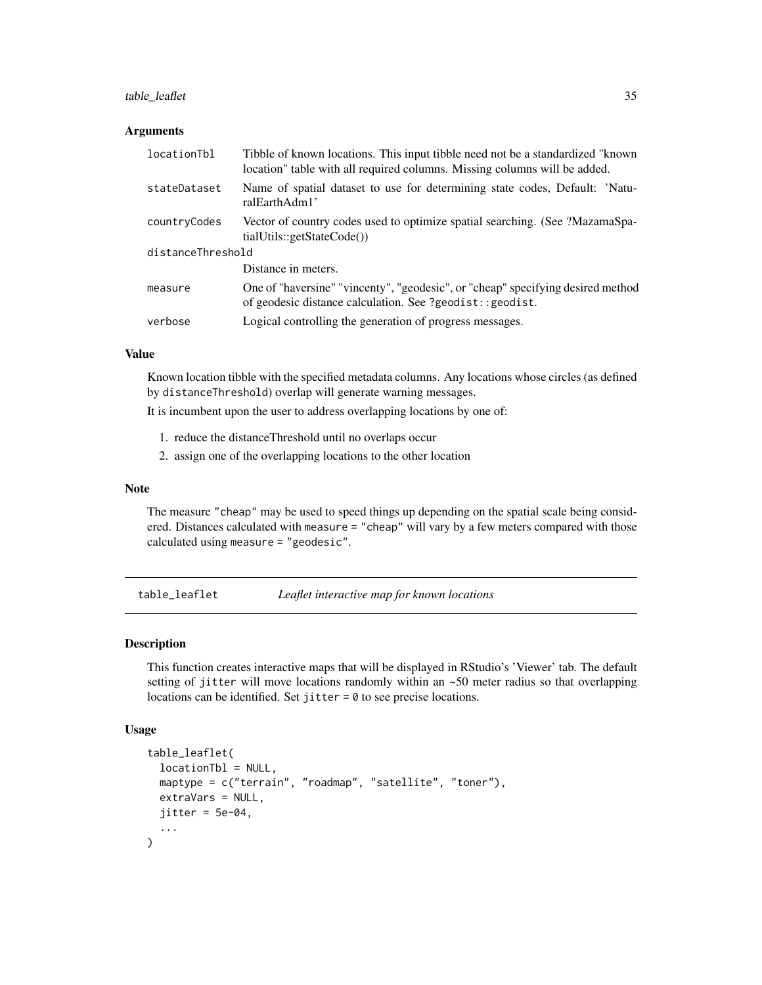### <span id="page-34-0"></span>table\_leaflet 35

#### **Arguments**

| locationTbl       | Tibble of known locations. This input tibble need not be a standardized "known"<br>location" table with all required columns. Missing columns will be added. |  |
|-------------------|--------------------------------------------------------------------------------------------------------------------------------------------------------------|--|
| stateDataset      | Name of spatial dataset to use for determining state codes, Default: 'Natu-<br>ralEarthAdm1'                                                                 |  |
| countryCodes      | Vector of country codes used to optimize spatial searching. (See ?MazamaSpa-<br>tialUtils::getStateCode())                                                   |  |
| distanceThreshold |                                                                                                                                                              |  |
|                   | Distance in meters.                                                                                                                                          |  |
| measure           | One of "haversine" "vincenty", "geodesic", or "cheap" specifying desired method<br>of geodesic distance calculation. See ?geodist:: geodist.                 |  |
| verbose           | Logical controlling the generation of progress messages.                                                                                                     |  |

#### Value

Known location tibble with the specified metadata columns. Any locations whose circles (as defined by distanceThreshold) overlap will generate warning messages.

It is incumbent upon the user to address overlapping locations by one of:

- 1. reduce the distanceThreshold until no overlaps occur
- 2. assign one of the overlapping locations to the other location

#### Note

The measure "cheap" may be used to speed things up depending on the spatial scale being considered. Distances calculated with measure = "cheap" will vary by a few meters compared with those calculated using measure = "geodesic".

table\_leaflet *Leaflet interactive map for known locations*

### Description

This function creates interactive maps that will be displayed in RStudio's 'Viewer' tab. The default setting of jitter will move locations randomly within an ~50 meter radius so that overlapping locations can be identified. Set jitter = 0 to see precise locations.

#### Usage

```
table_leaflet(
  locationTbl = NULL,
 maptype = c("terrain", "roadmap", "satellite", "toner"),
 extraVars = NULL,
  jitter = 5e-04,...
)
```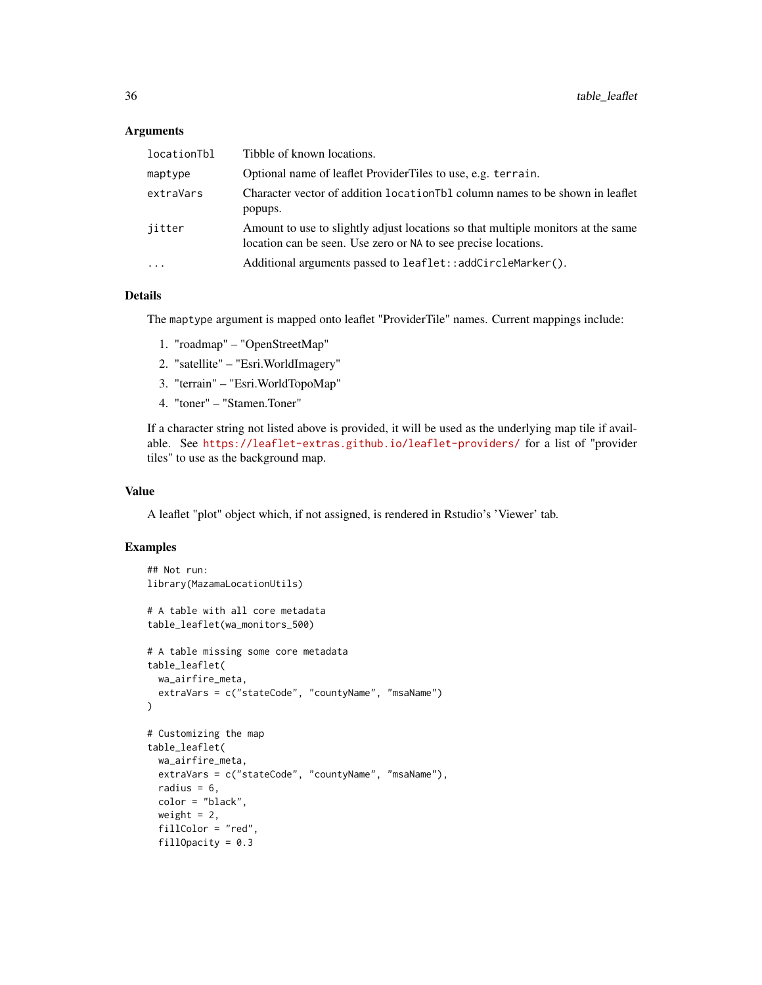#### Arguments

| locationTbl | Tibble of known locations.                                                                                                                         |
|-------------|----------------------------------------------------------------------------------------------------------------------------------------------------|
| maptype     | Optional name of leaflet ProviderTiles to use, e.g. terrain.                                                                                       |
| extraVars   | Character vector of addition location Tbl column names to be shown in leaflet<br>popups.                                                           |
| jitter      | Amount to use to slightly adjust locations so that multiple monitors at the same<br>location can be seen. Use zero or NA to see precise locations. |
| $\ddotsc$   | Additional arguments passed to leaflet::addCircleMarker().                                                                                         |

### Details

The maptype argument is mapped onto leaflet "ProviderTile" names. Current mappings include:

- 1. "roadmap" "OpenStreetMap"
- 2. "satellite" "Esri.WorldImagery"
- 3. "terrain" "Esri.WorldTopoMap"
- 4. "toner" "Stamen.Toner"

If a character string not listed above is provided, it will be used as the underlying map tile if available. See <https://leaflet-extras.github.io/leaflet-providers/> for a list of "provider tiles" to use as the background map.

### Value

A leaflet "plot" object which, if not assigned, is rendered in Rstudio's 'Viewer' tab.

### Examples

```
## Not run:
library(MazamaLocationUtils)
# A table with all core metadata
table_leaflet(wa_monitors_500)
# A table missing some core metadata
table_leaflet(
  wa_airfire_meta,
  extraVars = c("stateCode", "countyName", "msaName")
\lambda# Customizing the map
table_leaflet(
  wa_airfire_meta,
  extraVars = c("stateCode", "countyName", "msaName"),
  radius = 6,
  color = "black",
  weight = 2,
  fillColor = "red",
  fillOpacity = 0.3
```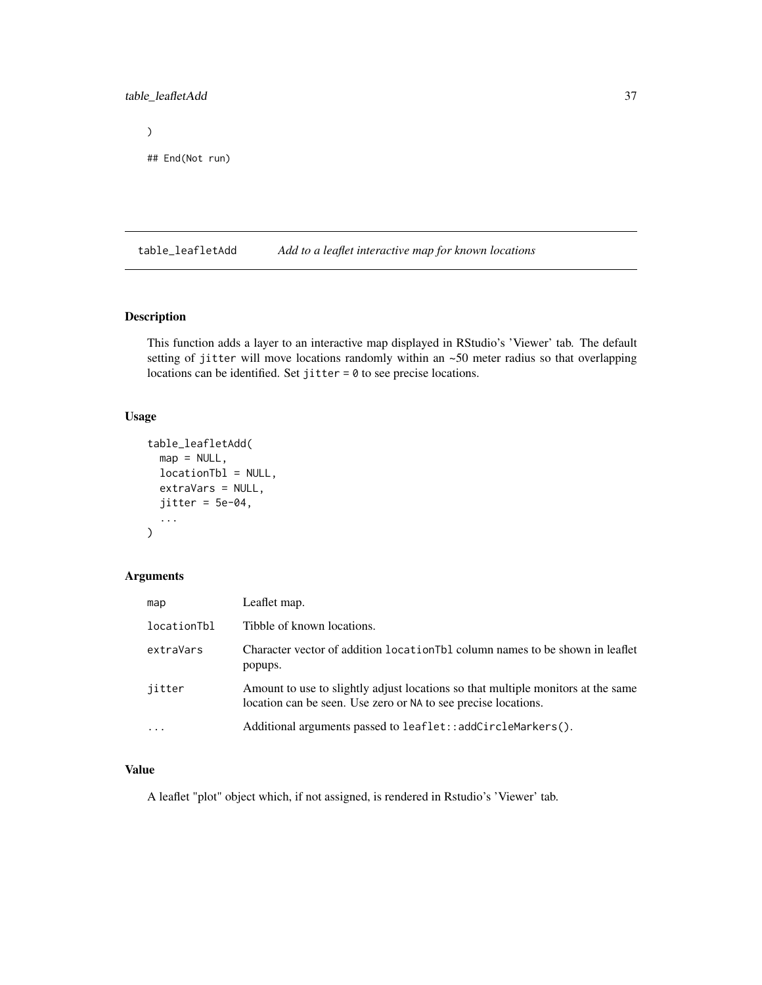### <span id="page-36-0"></span>table\_leafletAdd 37

 $\mathcal{L}$ 

```
## End(Not run)
```
table\_leafletAdd *Add to a leaflet interactive map for known locations*

### Description

This function adds a layer to an interactive map displayed in RStudio's 'Viewer' tab. The default setting of jitter will move locations randomly within an ~50 meter radius so that overlapping locations can be identified. Set jitter = 0 to see precise locations.

### Usage

```
table_leafletAdd(
 map = NULL,locationTbl = NULL,
 extraVars = NULL,
 jitter = 5e-04,...
)
```
### Arguments

| map         | Leaflet map.                                                                                                                                       |
|-------------|----------------------------------------------------------------------------------------------------------------------------------------------------|
| locationTbl | Tibble of known locations.                                                                                                                         |
| extraVars   | Character vector of addition location Tbl column names to be shown in leaflet<br>popups.                                                           |
| jitter      | Amount to use to slightly adjust locations so that multiple monitors at the same<br>location can be seen. Use zero or NA to see precise locations. |
| $\ddotsc$   | Additional arguments passed to leaflet::addCircleMarkers().                                                                                        |

### Value

A leaflet "plot" object which, if not assigned, is rendered in Rstudio's 'Viewer' tab.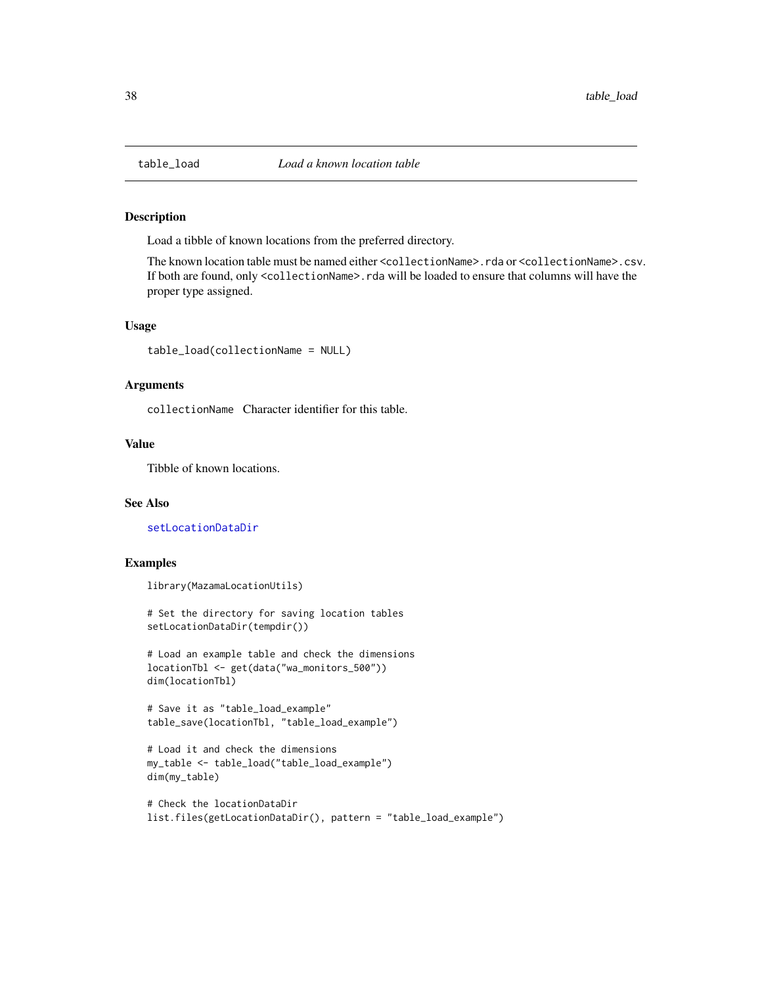<span id="page-37-0"></span>

Load a tibble of known locations from the preferred directory.

The known location table must be named either <collectionName>.rda or <collectionName>.csv. If both are found, only <collectionName>.rda will be loaded to ensure that columns will have the proper type assigned.

#### Usage

table\_load(collectionName = NULL)

#### Arguments

collectionName Character identifier for this table.

#### Value

Tibble of known locations.

### See Also

[setLocationDataDir](#page-16-1)

#### Examples

```
library(MazamaLocationUtils)
```

```
# Set the directory for saving location tables
setLocationDataDir(tempdir())
```

```
# Load an example table and check the dimensions
locationTbl <- get(data("wa_monitors_500"))
dim(locationTbl)
```

```
# Save it as "table_load_example"
table_save(locationTbl, "table_load_example")
```

```
# Load it and check the dimensions
my_table <- table_load("table_load_example")
dim(my_table)
```

```
# Check the locationDataDir
list.files(getLocationDataDir(), pattern = "table_load_example")
```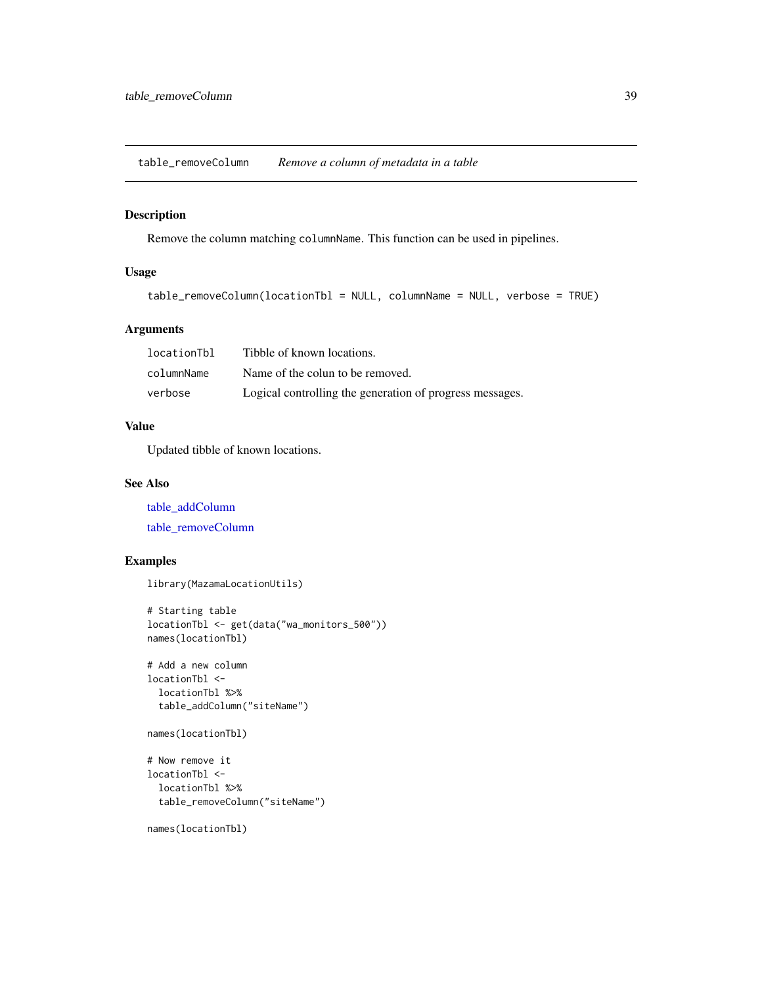<span id="page-38-1"></span><span id="page-38-0"></span>table\_removeColumn *Remove a column of metadata in a table*

### Description

Remove the column matching columnName. This function can be used in pipelines.

### Usage

```
table_removeColumn(locationTbl = NULL, columnName = NULL, verbose = TRUE)
```
### Arguments

| locationTbl | Tibble of known locations.                               |
|-------------|----------------------------------------------------------|
| columnName  | Name of the colun to be removed.                         |
| verbose     | Logical controlling the generation of progress messages. |

### Value

Updated tibble of known locations.

### See Also

[table\\_addColumn](#page-17-1)

[table\\_removeColumn](#page-38-1)

### Examples

library(MazamaLocationUtils)

```
# Starting table
locationTbl <- get(data("wa_monitors_500"))
names(locationTbl)
```

```
# Add a new column
locationTbl <-
 locationTbl %>%
 table_addColumn("siteName")
```

```
names(locationTbl)
```

```
# Now remove it
locationTbl <-
 locationTbl %>%
 table_removeColumn("siteName")
```
names(locationTbl)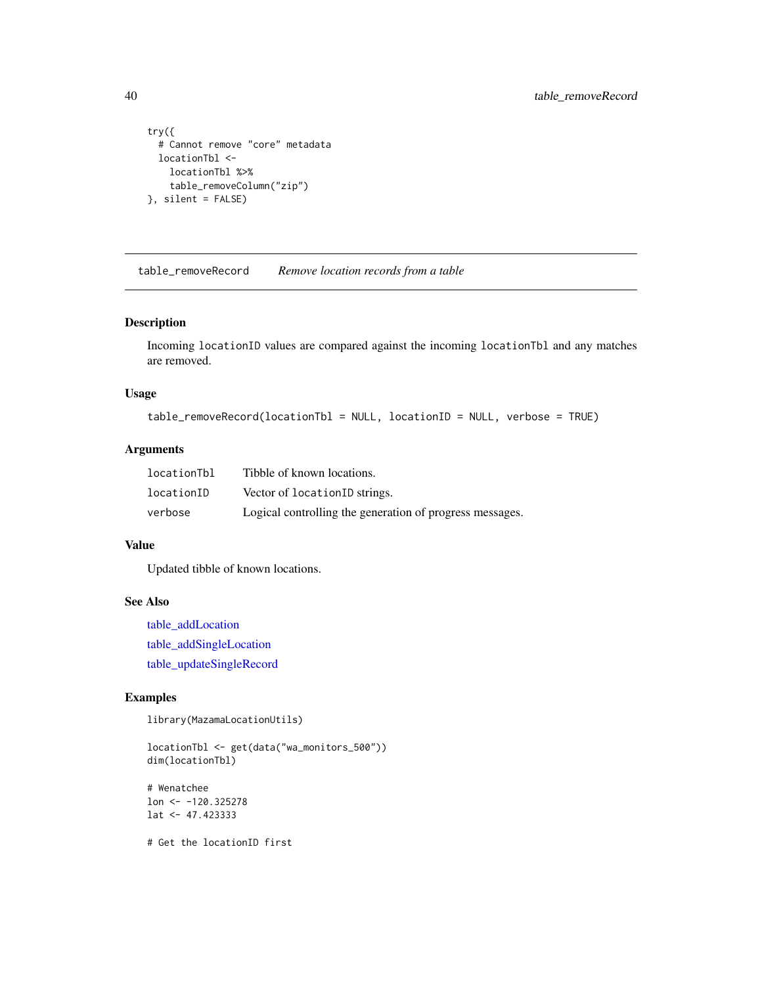```
try({
  # Cannot remove "core" metadata
 locationTbl <-
   locationTbl %>%
    table_removeColumn("zip")
}, silent = FALSE)
```
<span id="page-39-1"></span>table\_removeRecord *Remove location records from a table*

### Description

Incoming locationID values are compared against the incoming locationTbl and any matches are removed.

#### Usage

```
table_removeRecord(locationTbl = NULL, locationID = NULL, verbose = TRUE)
```
#### Arguments

| locationTbl | Tibble of known locations.                               |
|-------------|----------------------------------------------------------|
| locationID  | Vector of locationID strings.                            |
| verbose     | Logical controlling the generation of progress messages. |

#### Value

Updated tibble of known locations.

### See Also

[table\\_addLocation](#page-19-1) [table\\_addSingleLocation](#page-22-1) [table\\_updateSingleRecord](#page-42-1)

### Examples

library(MazamaLocationUtils)

locationTbl <- get(data("wa\_monitors\_500")) dim(locationTbl)

# Wenatchee lon <- -120.325278 lat <- 47.423333

# Get the locationID first

<span id="page-39-0"></span>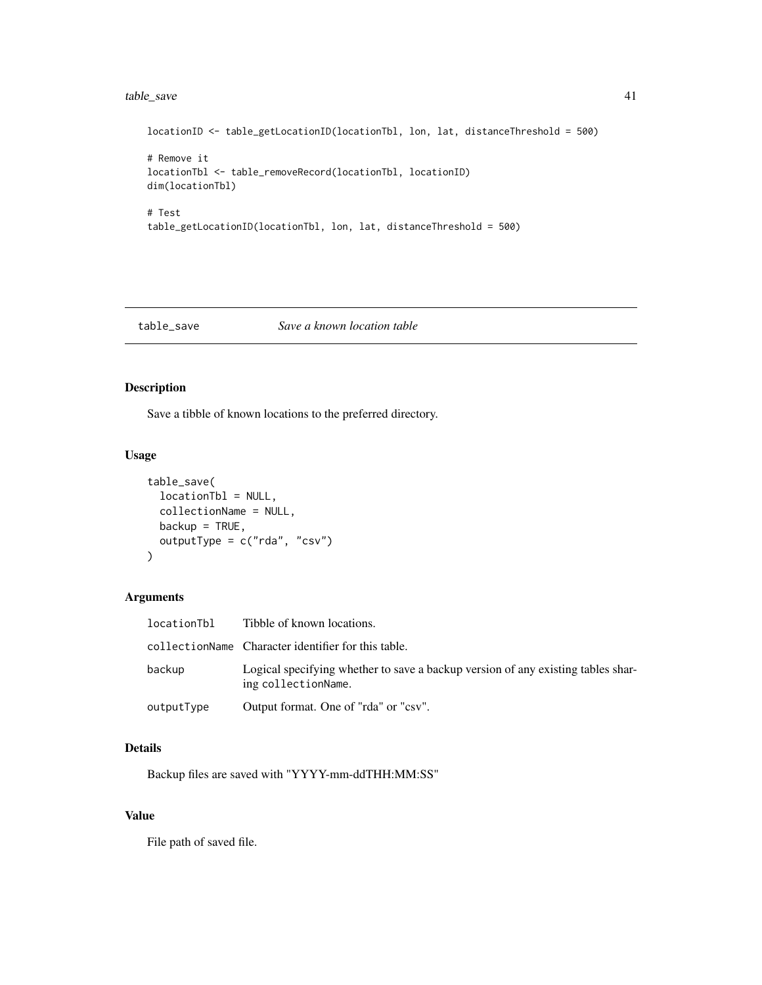### <span id="page-40-0"></span>table\_save 41

```
locationID <- table_getLocationID(locationTbl, lon, lat, distanceThreshold = 500)
# Remove it
locationTbl <- table_removeRecord(locationTbl, locationID)
dim(locationTbl)
# Test
table_getLocationID(locationTbl, lon, lat, distanceThreshold = 500)
```
### table\_save *Save a known location table*

### Description

Save a tibble of known locations to the preferred directory.

### Usage

```
table_save(
  locationTbl = NULL,
  collectionName = NULL,
  backup = TRUE,
  outputType = c("rda", "csv")
\mathcal{L}
```
### Arguments

| locationTbl | Tibble of known locations.                                                                              |
|-------------|---------------------------------------------------------------------------------------------------------|
|             | collectionName Character identifier for this table.                                                     |
| backup      | Logical specifying whether to save a backup version of any existing tables shar-<br>ing collectionName. |
| outputType  | Output format. One of "rda" or "csv".                                                                   |

### Details

Backup files are saved with "YYYY-mm-ddTHH:MM:SS"

### Value

File path of saved file.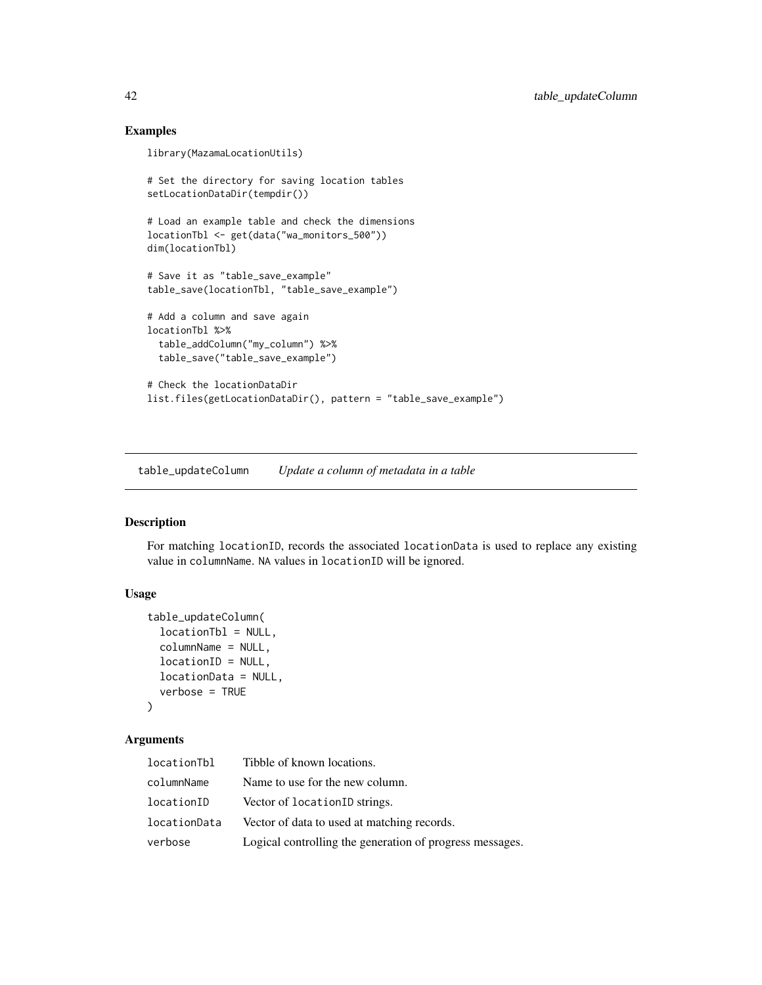### Examples

```
library(MazamaLocationUtils)
# Set the directory for saving location tables
setLocationDataDir(tempdir())
# Load an example table and check the dimensions
locationTbl <- get(data("wa_monitors_500"))
dim(locationTbl)
# Save it as "table_save_example"
table_save(locationTbl, "table_save_example")
# Add a column and save again
locationTbl %>%
  table_addColumn("my_column") %>%
  table_save("table_save_example")
# Check the locationDataDir
list.files(getLocationDataDir(), pattern = "table_save_example")
```
<span id="page-41-1"></span>table\_updateColumn *Update a column of metadata in a table*

### Description

For matching locationID, records the associated locationData is used to replace any existing value in columnName. NA values in locationID will be ignored.

#### Usage

```
table_updateColumn(
  locationTbl = NULL,
  columnName = NULL,
  locationID = NULL,
  locationData = NULL,
  verbose = TRUE
\mathcal{L}
```
### Arguments

| locationTbl  | Tibble of known locations.                               |
|--------------|----------------------------------------------------------|
| columnName   | Name to use for the new column.                          |
| locationID   | Vector of locationID strings.                            |
| locationData | Vector of data to used at matching records.              |
| verbose      | Logical controlling the generation of progress messages. |

<span id="page-41-0"></span>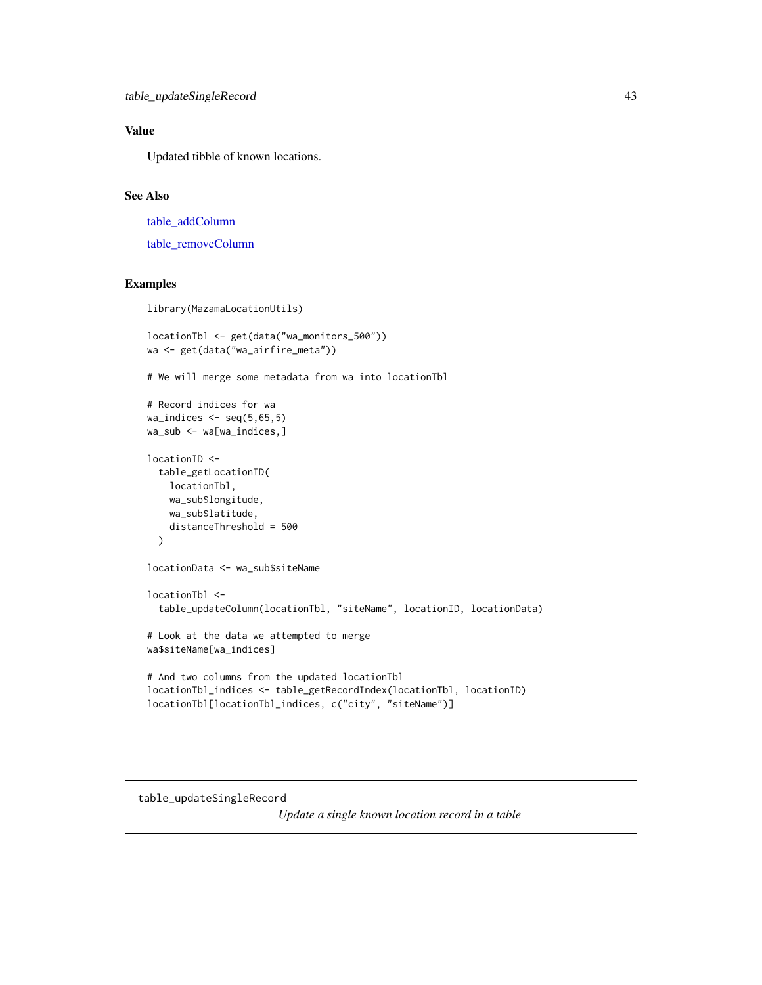### <span id="page-42-0"></span>Value

Updated tibble of known locations.

#### See Also

[table\\_addColumn](#page-17-1) [table\\_removeColumn](#page-38-1)

### Examples

library(MazamaLocationUtils)

```
locationTbl <- get(data("wa_monitors_500"))
wa <- get(data("wa_airfire_meta"))
# We will merge some metadata from wa into locationTbl
# Record indices for wa
wa\_indices \leftarrow seq(5, 65, 5)wa_sub <- wa[wa_indices,]
locationID <-
  table_getLocationID(
    locationTbl,
    wa_sub$longitude,
    wa_sub$latitude,
    distanceThreshold = 500
  \mathcal{L}locationData <- wa_sub$siteName
locationTbl <-
  table_updateColumn(locationTbl, "siteName", locationID, locationData)
# Look at the data we attempted to merge
wa$siteName[wa_indices]
# And two columns from the updated locationTbl
locationTbl_indices <- table_getRecordIndex(locationTbl, locationID)
locationTbl[locationTbl_indices, c("city", "siteName")]
```
### <span id="page-42-1"></span>table\_updateSingleRecord

*Update a single known location record in a table*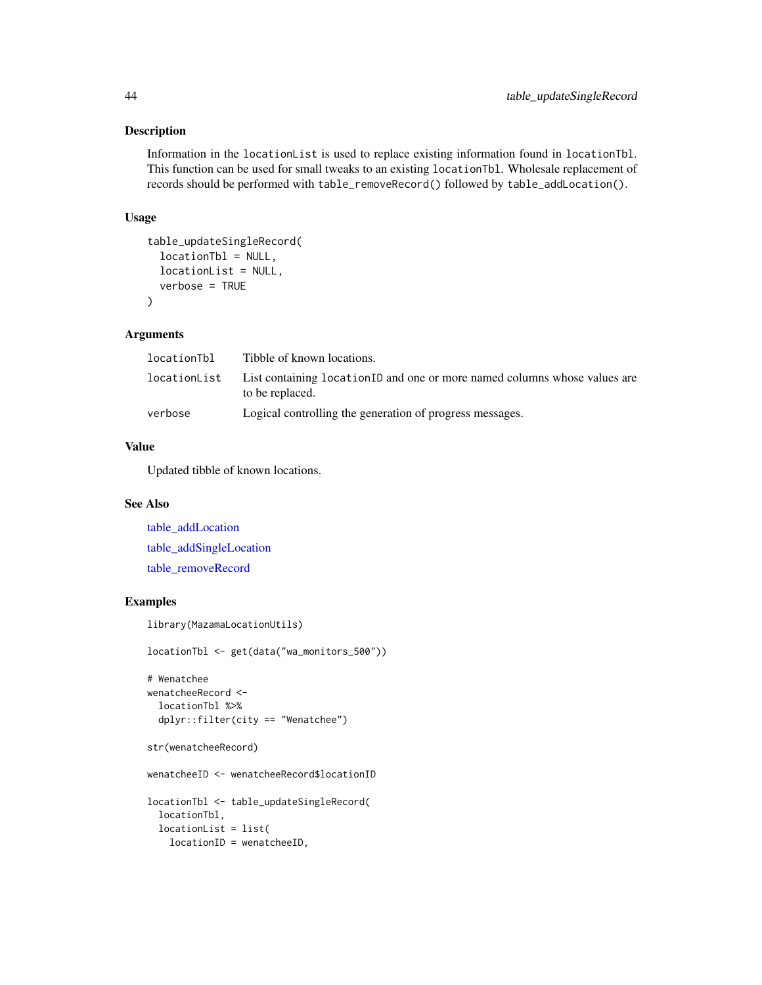Information in the locationList is used to replace existing information found in locationTbl. This function can be used for small tweaks to an existing locationTbl. Wholesale replacement of records should be performed with table\_removeRecord() followed by table\_addLocation().

### Usage

```
table_updateSingleRecord(
  locationTbl = NULL,
 locationList = NULL,
  verbose = TRUE
)
```
#### Arguments

| locationTbl | Tibble of known locations.                                                                                  |
|-------------|-------------------------------------------------------------------------------------------------------------|
|             | location List List containing location ID and one or more named columns whose values are<br>to be replaced. |
| verbose     | Logical controlling the generation of progress messages.                                                    |

#### Value

Updated tibble of known locations.

### See Also

[table\\_addLocation](#page-19-1) [table\\_addSingleLocation](#page-22-1) [table\\_removeRecord](#page-39-1)

### Examples

```
library(MazamaLocationUtils)
```
locationTbl <- get(data("wa\_monitors\_500"))

```
# Wenatchee
wenatcheeRecord <-
 locationTbl %>%
 dplyr::filter(city == "Wenatchee")
```

```
str(wenatcheeRecord)
```
wenatcheeID <- wenatcheeRecord\$locationID

```
locationTbl <- table_updateSingleRecord(
  locationTbl,
  locationList = list(
   locationID = wenatcheeID,
```
<span id="page-43-0"></span>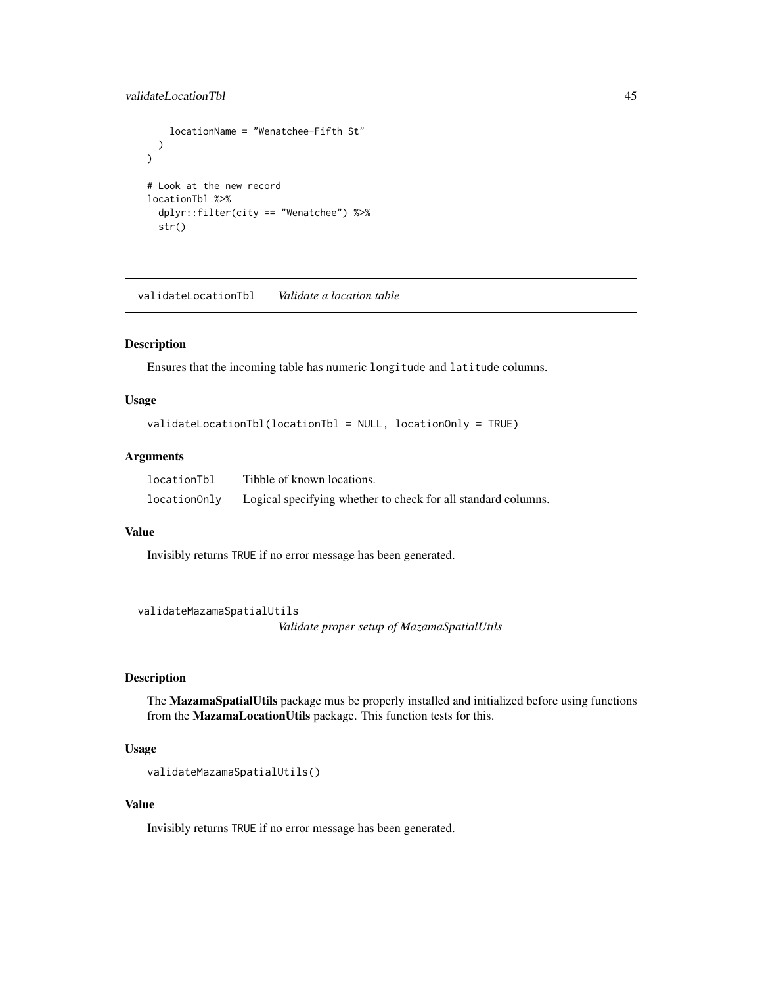### <span id="page-44-0"></span>validateLocationTbl 45

```
locationName = "Wenatchee-Fifth St"
 )
)
# Look at the new record
locationTbl %>%
 dplyr::filter(city == "Wenatchee") %>%
 str()
```
validateLocationTbl *Validate a location table*

#### Description

Ensures that the incoming table has numeric longitude and latitude columns.

#### Usage

```
validateLocationTbl(locationTbl = NULL, locationOnly = TRUE)
```
#### Arguments

| locationTbl  | Tibble of known locations.                                    |
|--------------|---------------------------------------------------------------|
| locationOnly | Logical specifying whether to check for all standard columns. |

#### Value

Invisibly returns TRUE if no error message has been generated.

validateMazamaSpatialUtils

*Validate proper setup of MazamaSpatialUtils*

### Description

The MazamaSpatialUtils package mus be properly installed and initialized before using functions from the MazamaLocationUtils package. This function tests for this.

#### Usage

```
validateMazamaSpatialUtils()
```
#### Value

Invisibly returns TRUE if no error message has been generated.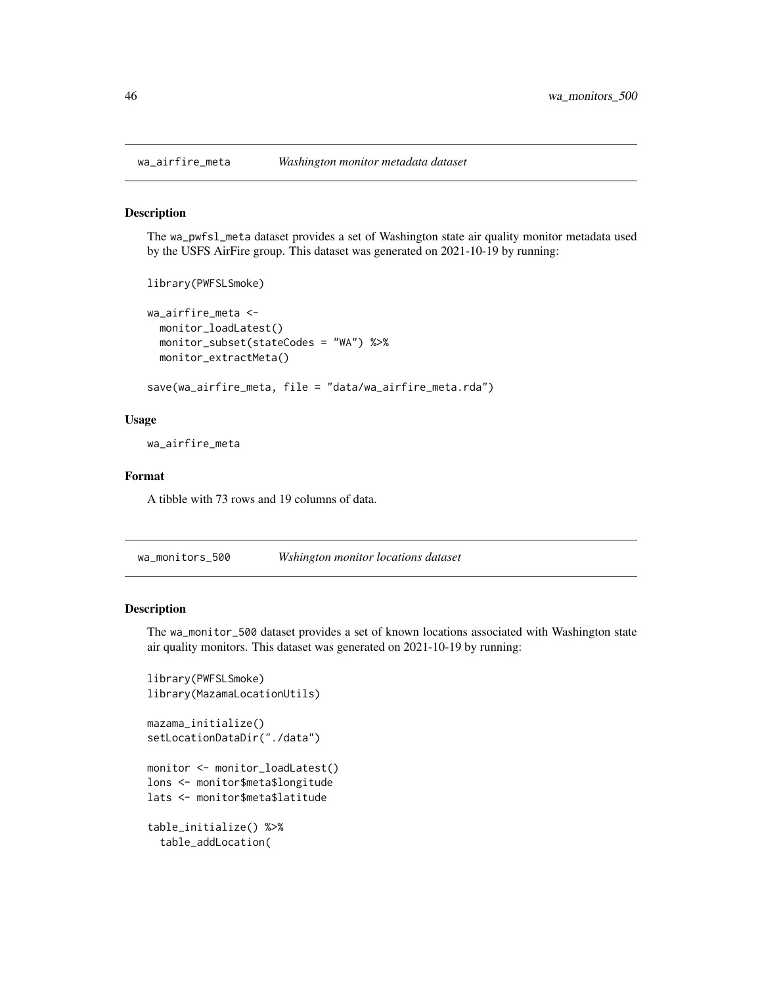The wa\_pwfsl\_meta dataset provides a set of Washington state air quality monitor metadata used by the USFS AirFire group. This dataset was generated on 2021-10-19 by running:

```
library(PWFSLSmoke)
wa_airfire_meta <-
 monitor_loadLatest()
 monitor_subset(stateCodes = "WA") %>%
 monitor_extractMeta()
```
save(wa\_airfire\_meta, file = "data/wa\_airfire\_meta.rda")

#### Usage

wa\_airfire\_meta

#### Format

A tibble with 73 rows and 19 columns of data.

<span id="page-45-1"></span>wa\_monitors\_500 *Wshington monitor locations dataset*

### Description

The wa\_monitor\_500 dataset provides a set of known locations associated with Washington state air quality monitors. This dataset was generated on 2021-10-19 by running:

```
library(PWFSLSmoke)
library(MazamaLocationUtils)
mazama_initialize()
setLocationDataDir("./data")
monitor <- monitor_loadLatest()
lons <- monitor$meta$longitude
lats <- monitor$meta$latitude
table_initialize() %>%
  table_addLocation(
```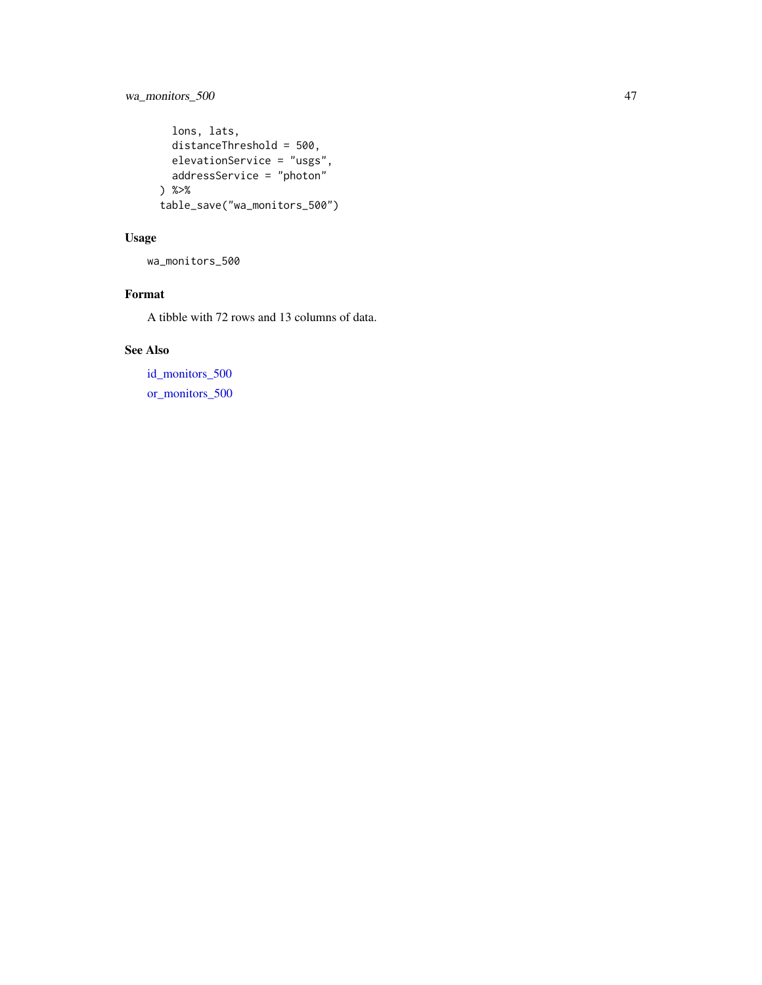### <span id="page-46-0"></span>wa\_monitors\_500 47

```
lons, lats,
 distanceThreshold = 500,
 elevationService = "usgs",
 addressService = "photon"
) %>%
table_save("wa_monitors_500")
```
### Usage

wa\_monitors\_500

## Format

A tibble with 72 rows and 13 columns of data.

## See Also

[id\\_monitors\\_500](#page-3-1) [or\\_monitors\\_500](#page-15-1)